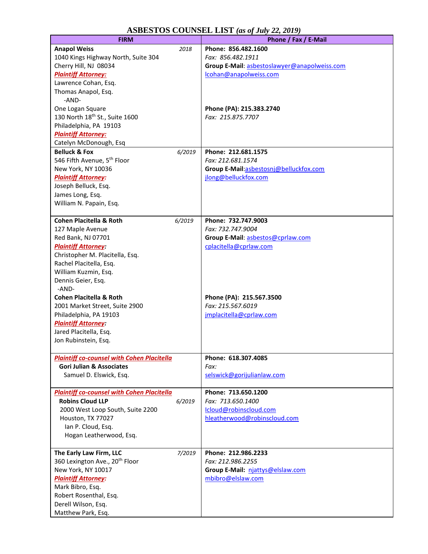| <b>ASBESTOS COUNSEL LIST</b> (as of July 22, 2019) |  |  |  |
|----------------------------------------------------|--|--|--|
|----------------------------------------------------|--|--|--|

| <b>ASBESTOS COUNSEL LIST</b> (as of July 22, 2019) |        |                                               |
|----------------------------------------------------|--------|-----------------------------------------------|
| <b>FIRM</b>                                        |        | Phone / Fax / E-Mail                          |
| <b>Anapol Weiss</b>                                | 2018   | Phone: 856.482.1600                           |
| 1040 Kings Highway North, Suite 304                |        | Fax: 856.482.1911                             |
| Cherry Hill, NJ 08034                              |        | Group E-Mail: asbestoslawyer@anapolweiss.com  |
| <b>Plaintiff Attorney:</b>                         |        | lcohan@anapolweiss.com                        |
| Lawrence Cohan, Esq.                               |        |                                               |
| Thomas Anapol, Esq.                                |        |                                               |
| -AND-                                              |        |                                               |
| One Logan Square                                   |        | Phone (PA): 215.383.2740                      |
| 130 North 18 <sup>th</sup> St., Suite 1600         |        | Fax: 215.875.7707                             |
| Philadelphia, PA 19103                             |        |                                               |
| <b>Plaintiff Attorney:</b>                         |        |                                               |
| Catelyn McDonough, Esq                             |        |                                               |
| <b>Belluck &amp; Fox</b>                           | 6/2019 | Phone: 212.681.1575                           |
| 546 Fifth Avenue, 5 <sup>th</sup> Floor            |        | Fax: 212.681.1574                             |
| New York, NY 10036                                 |        | Group E-Mail:asbestosni@belluckfox.com        |
| <b>Plaintiff Attorney:</b>                         |        | jlong@belluckfox.com                          |
| Joseph Belluck, Esq.                               |        |                                               |
| James Long, Esq.                                   |        |                                               |
| William N. Papain, Esq.                            |        |                                               |
|                                                    |        |                                               |
| <b>Cohen Placitella &amp; Roth</b>                 |        | Phone: 732.747.9003                           |
|                                                    | 6/2019 |                                               |
| 127 Maple Avenue                                   |        | Fax: 732.747.9004                             |
| Red Bank, NJ 07701                                 |        | Group E-Mail: asbestos@cprlaw.com             |
| <b>Plaintiff Attorney:</b>                         |        | cplacitella@cprlaw.com                        |
| Christopher M. Placitella, Esq.                    |        |                                               |
| Rachel Placitella, Esq.                            |        |                                               |
| William Kuzmin, Esq.                               |        |                                               |
| Dennis Geier, Esq.                                 |        |                                               |
| -AND-                                              |        |                                               |
| <b>Cohen Placitella &amp; Roth</b>                 |        | Phone (PA): 215.567.3500<br>Fax: 215.567.6019 |
| 2001 Market Street, Suite 2900                     |        |                                               |
| Philadelphia, PA 19103                             |        | jmplacitella@cprlaw.com                       |
| <b>Plaintiff Attorney:</b>                         |        |                                               |
| Jared Placitella, Esq.                             |        |                                               |
| Jon Rubinstein, Esq.                               |        |                                               |
|                                                    |        |                                               |
| <b>Plaintiff co-counsel with Cohen Placitella</b>  |        | Phone: 618.307.4085                           |
| <b>Gori Julian &amp; Associates</b>                |        | Fax:                                          |
| Samuel D. Elswick, Esq.                            |        | selswick@gorijulianlaw.com                    |
| <b>Plaintiff co-counsel with Cohen Placitella</b>  |        | Phone: 713.650.1200                           |
| <b>Robins Cloud LLP</b>                            | 6/2019 | Fax: 713.650.1400                             |
| 2000 West Loop South, Suite 2200                   |        | Icloud@robinscloud.com                        |
| Houston, TX 77027                                  |        | hleatherwood@robinscloud.com                  |
|                                                    |        |                                               |
| Ian P. Cloud, Esq.                                 |        |                                               |
| Hogan Leatherwood, Esq.                            |        |                                               |
|                                                    |        | Phone: 212.986.2233                           |
| The Early Law Firm, LLC                            | 7/2019 |                                               |
| 360 Lexington Ave., 20 <sup>th</sup> Floor         |        | Fax: 212.986.2255                             |
| New York, NY 10017                                 |        | Group E-Mail: njattys@elslaw.com              |
| <b>Plaintiff Attorney:</b>                         |        | mbibro@elslaw.com                             |
| Mark Bibro, Esq.                                   |        |                                               |
| Robert Rosenthal, Esq.                             |        |                                               |
| Derell Wilson, Esq.                                |        |                                               |
| Matthew Park, Esq.                                 |        |                                               |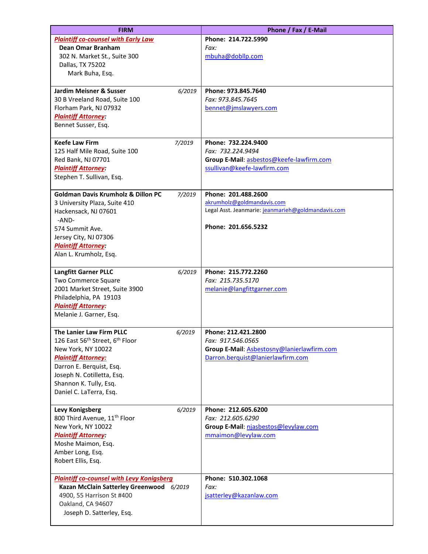| <b>FIRM</b>                                             |        | Phone / Fax / E-Mail                               |
|---------------------------------------------------------|--------|----------------------------------------------------|
| <b>Plaintiff co-counsel with Early Law</b>              |        | Phone: 214.722.5990                                |
| Dean Omar Branham                                       |        | Fax:                                               |
| 302 N. Market St., Suite 300                            |        | mbuha@dobllp.com                                   |
| Dallas, TX 75202                                        |        |                                                    |
| Mark Buha, Esq.                                         |        |                                                    |
|                                                         |        |                                                    |
| <b>Jardim Meisner &amp; Susser</b>                      | 6/2019 | Phone: 973.845.7640                                |
| 30 B Vreeland Road, Suite 100                           |        | Fax: 973.845.7645                                  |
| Florham Park, NJ 07932                                  |        | bennet@jmslawyers.com                              |
| <b>Plaintiff Attorney:</b>                              |        |                                                    |
| Bennet Susser, Esq.                                     |        |                                                    |
|                                                         |        |                                                    |
| <b>Keefe Law Firm</b>                                   | 7/2019 | Phone: 732.224.9400                                |
| 125 Half Mile Road, Suite 100                           |        | Fax: 732.224.9494                                  |
| Red Bank, NJ 07701                                      |        | Group E-Mail: asbestos@keefe-lawfirm.com           |
| <b>Plaintiff Attorney:</b>                              |        | ssullivan@keefe-lawfirm.com                        |
| Stephen T. Sullivan, Esq.                               |        |                                                    |
|                                                         |        |                                                    |
| <b>Goldman Davis Krumholz &amp; Dillon PC</b>           | 7/2019 | Phone: 201.488.2600                                |
| 3 University Plaza, Suite 410                           |        | akrumholz@goldmandavis.com                         |
| Hackensack, NJ 07601                                    |        | Legal Asst. Jeanmarie: jeanmarieh@goldmandavis.com |
| -AND-                                                   |        |                                                    |
| 574 Summit Ave.                                         |        | Phone: 201.656.5232                                |
| Jersey City, NJ 07306                                   |        |                                                    |
| <b>Plaintiff Attorney:</b>                              |        |                                                    |
| Alan L. Krumholz, Esq.                                  |        |                                                    |
|                                                         |        |                                                    |
| <b>Langfitt Garner PLLC</b>                             | 6/2019 | Phone: 215.772.2260                                |
| Two Commerce Square                                     |        | Fax: 215.735.5170                                  |
| 2001 Market Street, Suite 3900                          |        | melanie@langfittgarner.com                         |
| Philadelphia, PA 19103                                  |        |                                                    |
| <b>Plaintiff Attorney:</b>                              |        |                                                    |
| Melanie J. Garner, Esq.                                 |        |                                                    |
|                                                         |        |                                                    |
| The Lanier Law Firm PLLC                                | 6/2019 | Phone: 212.421.2800                                |
| 126 East 56 <sup>th</sup> Street, 6 <sup>th</sup> Floor |        | Fax: 917.546.0565                                  |
| New York, NY 10022                                      |        | Group E-Mail: Asbestosny@lanierlawfirm.com         |
| <b>Plaintiff Attorney:</b>                              |        | Darron.berquist@lanierlawfirm.com                  |
| Darron E. Berquist, Esq.                                |        |                                                    |
| Joseph N. Cotilletta, Esq.                              |        |                                                    |
| Shannon K. Tully, Esq.                                  |        |                                                    |
| Daniel C. LaTerra, Esq.                                 |        |                                                    |
| Levy Konigsberg                                         | 6/2019 | Phone: 212.605.6200                                |
| 800 Third Avenue, 11 <sup>th</sup> Floor                |        | Fax: 212.605.6290                                  |
| New York, NY 10022                                      |        | Group E-Mail: njasbestos@levylaw.com               |
| <b>Plaintiff Attorney:</b>                              |        | mmaimon@levylaw.com                                |
| Moshe Maimon, Esq.                                      |        |                                                    |
| Amber Long, Esq.                                        |        |                                                    |
| Robert Ellis, Esq.                                      |        |                                                    |
|                                                         |        |                                                    |
| <b>Plaintiff co-counsel with Levy Konigsberg</b>        |        | Phone: 510.302.1068                                |
| Kazan McClain Satterley Greenwood 6/2019                |        | Fax:                                               |
| 4900, 55 Harrison St #400                               |        | jsatterley@kazanlaw.com                            |
| Oakland, CA 94607                                       |        |                                                    |
| Joseph D. Satterley, Esq.                               |        |                                                    |
|                                                         |        |                                                    |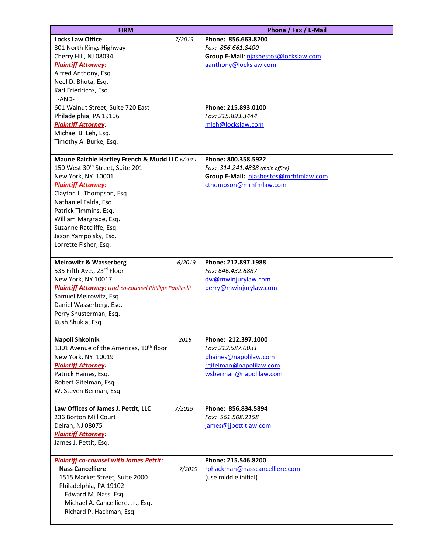| <b>FIRM</b>                                                                                   | Phone / Fax / E-Mail                                   |
|-----------------------------------------------------------------------------------------------|--------------------------------------------------------|
| <b>Locks Law Office</b><br>7/2019                                                             | Phone: 856.663.8200                                    |
| 801 North Kings Highway                                                                       | Fax: 856.661.8400                                      |
| Cherry Hill, NJ 08034                                                                         | Group E-Mail: njasbestos@lockslaw.com                  |
| <b>Plaintiff Attorney:</b>                                                                    | aanthony@lockslaw.com                                  |
| Alfred Anthony, Esq.<br>Neel D. Bhuta, Esq.                                                   |                                                        |
| Karl Friedrichs, Esq.                                                                         |                                                        |
| -AND-                                                                                         |                                                        |
| 601 Walnut Street, Suite 720 East                                                             | Phone: 215.893.0100                                    |
| Philadelphia, PA 19106                                                                        | Fax: 215.893.3444                                      |
| <b>Plaintiff Attorney:</b>                                                                    | mleh@lockslaw.com                                      |
| Michael B. Leh, Esq.                                                                          |                                                        |
| Timothy A. Burke, Esq.                                                                        |                                                        |
|                                                                                               |                                                        |
| Maune Raichle Hartley French & Mudd LLC 6/2019<br>150 West 30 <sup>th</sup> Street, Suite 201 | Phone: 800.358.5922<br>Fax: 314.241.4838 (main office) |
| New York, NY 10001                                                                            | Group E-Mail: njasbestos@mrhfmlaw.com                  |
| <b>Plaintiff Attorney:</b>                                                                    | cthompson@mrhfmlaw.com                                 |
| Clayton L. Thompson, Esq.                                                                     |                                                        |
| Nathaniel Falda, Esq.                                                                         |                                                        |
| Patrick Timmins, Esq.                                                                         |                                                        |
| William Margrabe, Esq.                                                                        |                                                        |
| Suzanne Ratcliffe, Esq.                                                                       |                                                        |
| Jason Yampolsky, Esq.                                                                         |                                                        |
| Lorrette Fisher, Esq.                                                                         |                                                        |
| <b>Meirowitz &amp; Wasserberg</b><br>6/2019                                                   | Phone: 212.897.1988                                    |
| 535 Fifth Ave., 23rd Floor                                                                    | Fax: 646.432.6887                                      |
| New York, NY 10017                                                                            | dw@mwinjurylaw.com                                     |
| <b>Plaintiff Attorney:</b> and co-counsel Phillips Paolicelli                                 | perry@mwinjurylaw.com                                  |
| Samuel Meirowitz, Esq.                                                                        |                                                        |
| Daniel Wasserberg, Esq.                                                                       |                                                        |
| Perry Shusterman, Esq.                                                                        |                                                        |
| Kush Shukla, Esq.                                                                             |                                                        |
| Napoli Shkolnik<br>2016                                                                       | Phone: 212.397.1000                                    |
| 1301 Avenue of the Americas, 10 <sup>th</sup> floor                                           | Fax: 212.587.0031                                      |
| New York, NY 10019                                                                            | phaines@napolilaw.com                                  |
| <b>Plaintiff Attorney:</b>                                                                    | rgitelman@napolilaw.com                                |
| Patrick Haines, Esq.                                                                          | wsberman@napolilaw.com                                 |
| Robert Gitelman, Esq.                                                                         |                                                        |
| W. Steven Berman, Esq.                                                                        |                                                        |
| Law Offices of James J. Pettit, LLC<br>7/2019                                                 | Phone: 856.834.5894                                    |
| 236 Borton Mill Court                                                                         | Fax: 561.508.2158                                      |
| Delran, NJ 08075                                                                              | james@jjpettitlaw.com                                  |
| <b>Plaintiff Attorney:</b>                                                                    |                                                        |
| James J. Pettit, Esq.                                                                         |                                                        |
|                                                                                               |                                                        |
| <b>Plaintiff co-counsel with James Pettit:</b>                                                | Phone: 215.546.8200                                    |
| <b>Nass Cancelliere</b><br>7/2019                                                             | rphackman@nasscancelliere.com                          |
| 1515 Market Street, Suite 2000<br>Philadelphia, PA 19102                                      | (use middle initial)                                   |
| Edward M. Nass, Esq.                                                                          |                                                        |
| Michael A. Cancelliere, Jr., Esq.                                                             |                                                        |
| Richard P. Hackman, Esq.                                                                      |                                                        |
|                                                                                               |                                                        |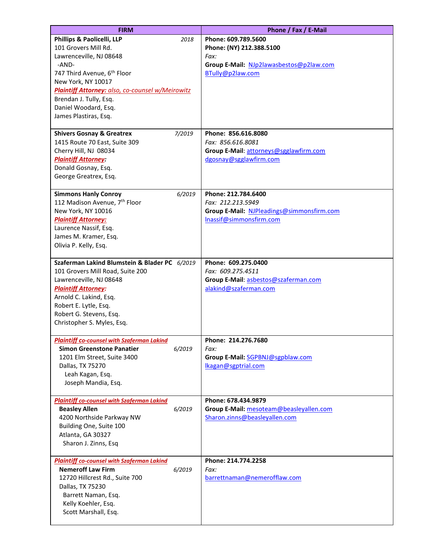| <b>FIRM</b>                                                                                                                                                                                                                                            | Phone / Fax / E-Mail                                                                                             |
|--------------------------------------------------------------------------------------------------------------------------------------------------------------------------------------------------------------------------------------------------------|------------------------------------------------------------------------------------------------------------------|
| Phillips & Paolicelli, LLP<br>2018<br>101 Grovers Mill Rd.<br>Lawrenceville, NJ 08648                                                                                                                                                                  | Phone: 609.789.5600<br>Phone: (NY) 212.388.5100<br>Fax:                                                          |
| -AND-<br>747 Third Avenue, 6 <sup>th</sup> Floor<br>New York, NY 10017<br><b>Plaintiff Attorney: also, co-counsel w/Meirowitz</b><br>Brendan J. Tully, Esq.<br>Daniel Woodard, Esq.<br>James Plastiras, Esq.                                           | Group E-Mail: NJp2lawasbestos@p2law.com<br>BTully@p2law.com                                                      |
| 7/2019<br><b>Shivers Gosnay &amp; Greatrex</b><br>1415 Route 70 East, Suite 309<br>Cherry Hill, NJ 08034<br><b>Plaintiff Attorney:</b><br>Donald Gosnay, Esq.<br>George Greatrex, Esq.                                                                 | Phone: 856.616.8080<br>Fax: 856.616.8081<br>Group E-Mail: attorneys@sgglawfirm.com<br>dgosnay@sgglawfirm.com     |
| <b>Simmons Hanly Conroy</b><br>6/2019<br>112 Madison Avenue, 7 <sup>th</sup> Floor<br>New York, NY 10016<br><b>Plaintiff Attorney:</b><br>Laurence Nassif, Esq.<br>James M. Kramer, Esq.<br>Olivia P. Kelly, Esq.                                      | Phone: 212.784.6400<br>Fax: 212.213.5949<br>Group E-Mail: NJPleadings@simmonsfirm.com<br>Inassif@simmonsfirm.com |
| Szaferman Lakind Blumstein & Blader PC 6/2019<br>101 Grovers Mill Road, Suite 200<br>Lawrenceville, NJ 08648<br><b>Plaintiff Attorney:</b><br>Arnold C. Lakind, Esq.<br>Robert E. Lytle, Esq.<br>Robert G. Stevens, Esq.<br>Christopher S. Myles, Esq. | Phone: 609.275.0400<br>Fax: 609.275.4511<br>Group E-Mail: asbestos@szaferman.com<br>alakind@szaferman.com        |
| <b>Plaintiff co-counsel with Szaferman Lakind</b><br><b>Simon Greenstone Panatier</b><br>6/2019<br>1201 Elm Street, Suite 3400<br>Dallas, TX 75270<br>Leah Kagan, Esq.<br>Joseph Mandia, Esq.                                                          | Phone: 214.276.7680<br>Fax:<br>Group E-Mail: SGPBNJ@sgpblaw.com<br>lkagan@sgptrial.com                           |
| <b>Plaintiff co-counsel with Szaferman Lakind</b><br><b>Beasley Allen</b><br>6/2019<br>4200 Northside Parkway NW<br>Building One, Suite 100<br>Atlanta, GA 30327<br>Sharon J. Zinns, Esq                                                               | Phone: 678.434.9879<br>Group E-Mail: mesoteam@beasleyallen.com<br>Sharon.zinns@beasleyallen.com                  |
| <b>Plaintiff co-counsel with Szaferman Lakind</b><br><b>Nemeroff Law Firm</b><br>6/2019<br>12720 Hillcrest Rd., Suite 700<br>Dallas, TX 75230<br>Barrett Naman, Esq.<br>Kelly Koehler, Esq.<br>Scott Marshall, Esq.                                    | Phone: 214.774.2258<br>Fax:<br>barrettnaman@nemerofflaw.com                                                      |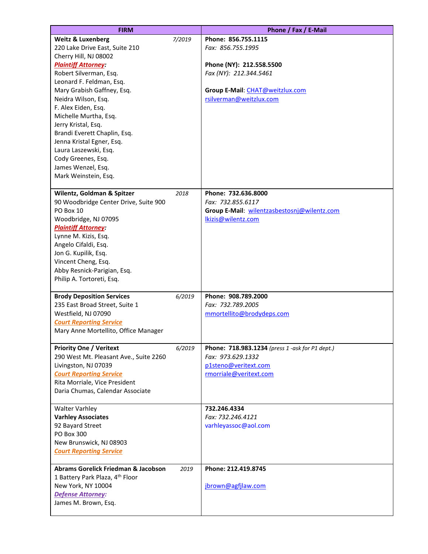| <b>FIRM</b>                                    |        | Phone / Fax / E-Mail                             |
|------------------------------------------------|--------|--------------------------------------------------|
| <b>Weitz &amp; Luxenberg</b>                   | 7/2019 | Phone: 856.755.1115                              |
| 220 Lake Drive East, Suite 210                 |        | Fax: 856.755.1995                                |
| Cherry Hill, NJ 08002                          |        |                                                  |
| <b>Plaintiff Attorney:</b>                     |        | Phone (NY): 212.558.5500                         |
| Robert Silverman, Esq.                         |        | Fax (NY): 212.344.5461                           |
| Leonard F. Feldman, Esq.                       |        |                                                  |
| Mary Grabish Gaffney, Esq.                     |        | Group E-Mail: CHAT@weitzlux.com                  |
| Neidra Wilson, Esq.                            |        | rsilverman@weitzlux.com                          |
| F. Alex Eiden, Esq.                            |        |                                                  |
|                                                |        |                                                  |
| Michelle Murtha, Esq.                          |        |                                                  |
| Jerry Kristal, Esq.                            |        |                                                  |
| Brandi Everett Chaplin, Esq.                   |        |                                                  |
| Jenna Kristal Egner, Esq.                      |        |                                                  |
| Laura Laszewski, Esq.                          |        |                                                  |
| Cody Greenes, Esq.                             |        |                                                  |
| James Wenzel, Esq.                             |        |                                                  |
| Mark Weinstein, Esq.                           |        |                                                  |
| Wilentz, Goldman & Spitzer                     | 2018   | Phone: 732.636.8000                              |
| 90 Woodbridge Center Drive, Suite 900          |        | Fax: 732.855.6117                                |
| PO Box 10                                      |        | Group E-Mail: wilentzasbestosnj@wilentz.com      |
| Woodbridge, NJ 07095                           |        | lkizis@wilentz.com                               |
| <b>Plaintiff Attorney:</b>                     |        |                                                  |
| Lynne M. Kizis, Esq.                           |        |                                                  |
| Angelo Cifaldi, Esq.                           |        |                                                  |
| Jon G. Kupilik, Esq.                           |        |                                                  |
| Vincent Cheng, Esq.                            |        |                                                  |
| Abby Resnick-Parigian, Esq.                    |        |                                                  |
| Philip A. Tortoreti, Esq.                      |        |                                                  |
|                                                |        |                                                  |
| <b>Brody Deposition Services</b>               | 6/2019 | Phone: 908.789.2000                              |
| 235 East Broad Street, Suite 1                 |        | Fax: 732.789.2005                                |
| Westfield, NJ 07090                            |        | mmortellito@brodydeps.com                        |
| <b>Court Reporting Service</b>                 |        |                                                  |
| Mary Anne Mortellito, Office Manager           |        |                                                  |
|                                                |        |                                                  |
| <b>Priority One / Veritext</b>                 | 6/2019 | Phone: 718.983.1234 (press 1 - ask for P1 dept.) |
| 290 West Mt. Pleasant Ave., Suite 2260         |        | Fax: 973.629.1332                                |
| Livingston, NJ 07039                           |        | p1steno@veritext.com                             |
| <b>Court Reporting Service</b>                 |        | rmorriale@veritext.com                           |
| Rita Morriale, Vice President                  |        |                                                  |
| Daria Chumas, Calendar Associate               |        |                                                  |
| <b>Walter Varhley</b>                          |        | 732.246.4334                                     |
| <b>Varhley Associates</b>                      |        | Fax: 732.246.4121                                |
| 92 Bayard Street                               |        | varhleyassoc@aol.com                             |
| <b>PO Box 300</b>                              |        |                                                  |
| New Brunswick, NJ 08903                        |        |                                                  |
| <b>Court Reporting Service</b>                 |        |                                                  |
|                                                |        |                                                  |
| <b>Abrams Gorelick Friedman &amp; Jacobson</b> | 2019   | Phone: 212.419.8745                              |
| 1 Battery Park Plaza, 4th Floor                |        |                                                  |
| New York, NY 10004                             |        | jbrown@agfjlaw.com                               |
| Defense Attorney:                              |        |                                                  |
| James M. Brown, Esq.                           |        |                                                  |
|                                                |        |                                                  |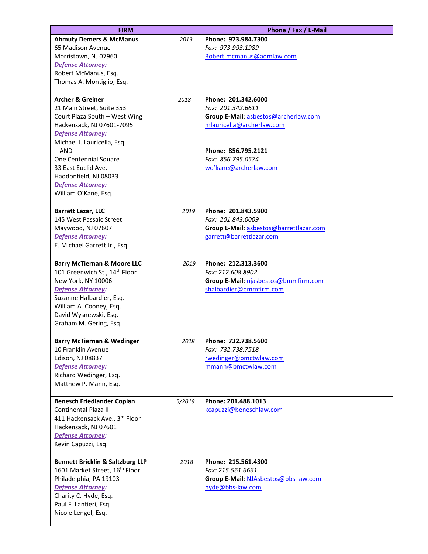| <b>FIRM</b>                                                                                                                                                                                                                                                                                                      |        | Phone / Fax / E-Mail                                                                                                                                                               |
|------------------------------------------------------------------------------------------------------------------------------------------------------------------------------------------------------------------------------------------------------------------------------------------------------------------|--------|------------------------------------------------------------------------------------------------------------------------------------------------------------------------------------|
| <b>Ahmuty Demers &amp; McManus</b><br>65 Madison Avenue<br>Morristown, NJ 07960<br>Defense Attorney:                                                                                                                                                                                                             | 2019   | Phone: 973.984.7300<br>Fax: 973.993.1989<br>Robert.mcmanus@admlaw.com                                                                                                              |
| Robert McManus, Esq.<br>Thomas A. Montiglio, Esq.                                                                                                                                                                                                                                                                |        |                                                                                                                                                                                    |
| <b>Archer &amp; Greiner</b><br>21 Main Street, Suite 353<br>Court Plaza South - West Wing<br>Hackensack, NJ 07601-7095<br><b>Defense Attorney:</b><br>Michael J. Lauricella, Esq.<br>-AND-<br>One Centennial Square<br>33 East Euclid Ave.<br>Haddonfield, NJ 08033<br>Defense Attorney:<br>William O'Kane, Esq. | 2018   | Phone: 201.342.6000<br>Fax: 201.342.6611<br>Group E-Mail: asbestos@archerlaw.com<br>mlauricella@archerlaw.com<br>Phone: 856.795.2121<br>Fax: 856.795.0574<br>wo'kane@archerlaw.com |
| <b>Barrett Lazar, LLC</b><br>145 West Passaic Street<br>Maywood, NJ 07607<br><b>Defense Attorney:</b><br>E. Michael Garrett Jr., Esq.                                                                                                                                                                            | 2019   | Phone: 201.843.5900<br>Fax: 201.843.0009<br>Group E-Mail: asbestos@barrettlazar.com<br>garrett@barrettlazar.com                                                                    |
| <b>Barry McTiernan &amp; Moore LLC</b><br>101 Greenwich St., 14 <sup>th</sup> Floor<br>New York, NY 10006<br><b>Defense Attorney:</b><br>Suzanne Halbardier, Esq.<br>William A. Cooney, Esq.<br>David Wysnewski, Esq.<br>Graham M. Gering, Esq.                                                                  | 2019   | Phone: 212.313.3600<br>Fax: 212.608.8902<br>Group E-Mail: njasbestos@bmmfirm.com<br>shalbardier@bmmfirm.com                                                                        |
| <b>Barry McTiernan &amp; Wedinger</b><br>10 Franklin Avenue<br>Edison, NJ 08837<br><b>Defense Attorney:</b><br>Richard Wedinger, Esq.<br>Matthew P. Mann, Esq.                                                                                                                                                   | 2018   | Phone: 732.738.5600<br>Fax: 732.738.7518<br>rwedinger@bmctwlaw.com<br>mmann@bmctwlaw.com                                                                                           |
| <b>Benesch Friedlander Coplan</b><br>Continental Plaza II<br>411 Hackensack Ave., 3rd Floor<br>Hackensack, NJ 07601<br><b>Defense Attorney:</b><br>Kevin Capuzzi, Esq.                                                                                                                                           | 5/2019 | Phone: 201.488.1013<br>kcapuzzi@beneschlaw.com                                                                                                                                     |
| <b>Bennett Bricklin &amp; Saltzburg LLP</b><br>1601 Market Street, 16 <sup>th</sup> Floor<br>Philadelphia, PA 19103<br><b>Defense Attorney:</b><br>Charity C. Hyde, Esq.<br>Paul F. Lantieri, Esq.<br>Nicole Lengel, Esq.                                                                                        | 2018   | Phone: 215.561.4300<br>Fax: 215.561.6661<br>Group E-Mail: NJAsbestos@bbs-law.com<br>hyde@bbs-law.com                                                                               |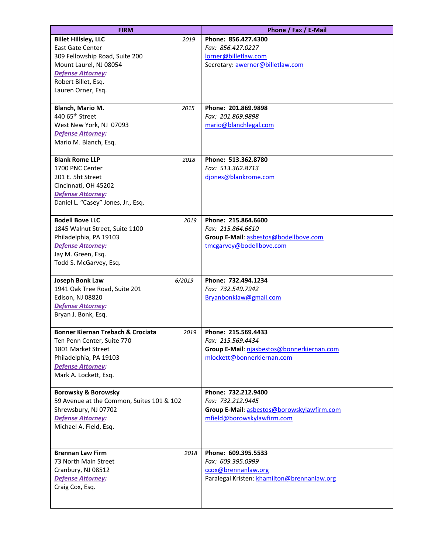| <b>FIRM</b>                                          | Phone / Fax / E-Mail                        |
|------------------------------------------------------|---------------------------------------------|
| <b>Billet Hillsley, LLC</b><br>2019                  | Phone: 856.427.4300                         |
| <b>East Gate Center</b>                              | Fax: 856.427.0227                           |
| 309 Fellowship Road, Suite 200                       | lorner@billetlaw.com                        |
| Mount Laurel, NJ 08054                               | Secretary: awerner@billetlaw.com            |
| <b>Defense Attorney:</b>                             |                                             |
| Robert Billet, Esq.                                  |                                             |
| Lauren Orner, Esq.                                   |                                             |
|                                                      |                                             |
| Blanch, Mario M.<br>2015                             | Phone: 201.869.9898                         |
| 440 65 <sup>th</sup> Street                          | Fax: 201.869.9898                           |
| West New York, NJ 07093                              | mario@blanchlegal.com                       |
| <b>Defense Attorney:</b>                             |                                             |
| Mario M. Blanch, Esq.                                |                                             |
| <b>Blank Rome LLP</b><br>2018                        | Phone: 513.362.8780                         |
| 1700 PNC Center                                      | Fax: 513.362.8713                           |
| 201 E. 5ht Street                                    | djones@blankrome.com                        |
| Cincinnati, OH 45202                                 |                                             |
| <b>Defense Attorney:</b>                             |                                             |
| Daniel L. "Casey" Jones, Jr., Esq.                   |                                             |
|                                                      |                                             |
| <b>Bodell Bove LLC</b><br>2019                       | Phone: 215.864.6600                         |
| 1845 Walnut Street, Suite 1100                       | Fax: 215.864.6610                           |
| Philadelphia, PA 19103                               | Group E-Mail: asbestos@bodellbove.com       |
| <b>Defense Attorney:</b>                             | tmcgarvey@bodellbove.com                    |
| Jay M. Green, Esq.                                   |                                             |
| Todd S. McGarvey, Esq.                               |                                             |
| <b>Joseph Bonk Law</b><br>6/2019                     | Phone: 732.494.1234                         |
| 1941 Oak Tree Road, Suite 201                        | Fax: 732.549.7942                           |
| Edison, NJ 08820                                     | Bryanbonklaw@gmail.com                      |
| <b>Defense Attorney:</b>                             |                                             |
| Bryan J. Bonk, Esq.                                  |                                             |
|                                                      |                                             |
| <b>Bonner Kiernan Trebach &amp; Crociata</b><br>2019 | Phone: 215.569.4433                         |
| Ten Penn Center, Suite 770                           | Fax: 215.569.4434                           |
| 1801 Market Street                                   | Group E-Mail: njasbestos@bonnerkiernan.com  |
| Philadelphia, PA 19103                               | mlockett@bonnerkiernan.com                  |
| <b>Defense Attorney:</b>                             |                                             |
| Mark A. Lockett, Esq.                                |                                             |
| <b>Borowsky &amp; Borowsky</b>                       | Phone: 732.212.9400                         |
| 59 Avenue at the Common, Suites 101 & 102            | Fax: 732.212.9445                           |
| Shrewsbury, NJ 07702                                 | Group E-Mail: asbestos@borowskylawfirm.com  |
| <b>Defense Attorney:</b>                             | mfield@borowskylawfirm.com                  |
| Michael A. Field, Esq.                               |                                             |
|                                                      |                                             |
|                                                      |                                             |
| <b>Brennan Law Firm</b><br>2018                      | Phone: 609.395.5533                         |
| 73 North Main Street<br>Cranbury, NJ 08512           | Fax: 609.395.0999<br>ccox@brennanlaw.org    |
| Defense Attorney:                                    | Paralegal Kristen: khamilton@brennanlaw.org |
| Craig Cox, Esq.                                      |                                             |
|                                                      |                                             |
|                                                      |                                             |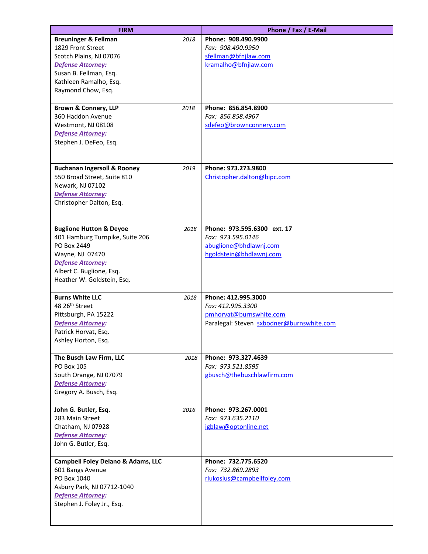| <b>FIRM</b>                                                                                                                                                                                   |      | Phone / Fax / E-Mail                                                                                             |
|-----------------------------------------------------------------------------------------------------------------------------------------------------------------------------------------------|------|------------------------------------------------------------------------------------------------------------------|
| <b>Breuninger &amp; Fellman</b><br>1829 Front Street<br>Scotch Plains, NJ 07076<br>Defense Attorney:<br>Susan B. Fellman, Esq.<br>Kathleen Ramalho, Esq.<br>Raymond Chow, Esq.                | 2018 | Phone: 908.490.9900<br>Fax: 908.490.9950<br>sfellman@bfnjlaw.com<br>kramalho@bfnjlaw.com                         |
| <b>Brown &amp; Connery, LLP</b><br>360 Haddon Avenue<br>Westmont, NJ 08108<br><b>Defense Attorney:</b><br>Stephen J. DeFeo, Esq.                                                              | 2018 | Phone: 856.854.8900<br>Fax: 856.858.4967<br>sdefeo@brownconnery.com                                              |
| <b>Buchanan Ingersoll &amp; Rooney</b><br>550 Broad Street, Suite 810<br>Newark, NJ 07102<br><b>Defense Attorney:</b><br>Christopher Dalton, Esq.                                             | 2019 | Phone: 973.273.9800<br>Christopher.dalton@bipc.com                                                               |
| <b>Buglione Hutton &amp; Deyoe</b><br>401 Hamburg Turnpike, Suite 206<br>PO Box 2449<br>Wayne, NJ 07470<br><b>Defense Attorney:</b><br>Albert C. Buglione, Esq.<br>Heather W. Goldstein, Esq. | 2018 | Phone: 973.595.6300 ext. 17<br>Fax: 973.595.0146<br>abuglione@bhdlawnj.com<br>hgoldstein@bhdlawnj.com            |
| <b>Burns White LLC</b><br>48 26 <sup>th</sup> Street<br>Pittsburgh, PA 15222<br><b>Defense Attorney:</b><br>Patrick Horvat, Esq.<br>Ashley Horton, Esq.                                       | 2018 | Phone: 412.995.3000<br>Fax: 412.995.3300<br>pmhorvat@burnswhite.com<br>Paralegal: Steven sxbodner@burnswhite.com |
| The Busch Law Firm, LLC<br><b>PO Box 105</b><br>South Orange, NJ 07079<br><b>Defense Attorney:</b><br>Gregory A. Busch, Esq.                                                                  | 2018 | Phone: 973.327.4639<br>Fax: 973.521.8595<br>gbusch@thebuschlawfirm.com                                           |
| John G. Butler, Esq.<br>283 Main Street<br>Chatham, NJ 07928<br>Defense Attorney:<br>John G. Butler, Esq.                                                                                     | 2016 | Phone: 973.267.0001<br>Fax: 973.635.2110<br>jgblaw@optonline.net                                                 |
| <b>Campbell Foley Delano &amp; Adams, LLC</b><br>601 Bangs Avenue<br>PO Box 1040<br>Asbury Park, NJ 07712-1040<br>Defense Attorney:<br>Stephen J. Foley Jr., Esq.                             |      | Phone: 732.775.6520<br>Fax: 732.869.2893<br>rlukosius@campbellfoley.com                                          |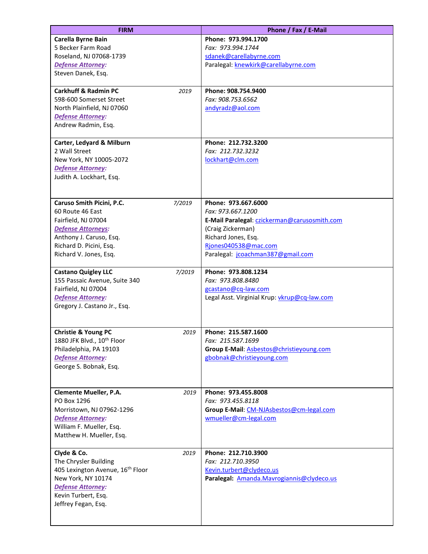| <b>FIRM</b>                                  | Phone / Fax / E-Mail                         |
|----------------------------------------------|----------------------------------------------|
| Carella Byrne Bain                           | Phone: 973.994.1700                          |
| 5 Becker Farm Road                           | Fax: 973.994.1744                            |
| Roseland, NJ 07068-1739                      | sdanek@carellabyrne.com                      |
| <b>Defense Attorney:</b>                     | Paralegal: knewkirk@carellabyrne.com         |
| Steven Danek, Esq.                           |                                              |
| <b>Carkhuff &amp; Radmin PC</b><br>2019      | Phone: 908.754.9400                          |
| 598-600 Somerset Street                      | Fax: 908.753.6562                            |
| North Plainfield, NJ 07060                   | andyradz@aol.com                             |
| <b>Defense Attorney:</b>                     |                                              |
| Andrew Radmin, Esq.                          |                                              |
| Carter, Ledyard & Milburn                    | Phone: 212.732.3200                          |
| 2 Wall Street                                | Fax: 212.732.3232                            |
| New York, NY 10005-2072                      | lockhart@clm.com                             |
| <b>Defense Attorney:</b>                     |                                              |
| Judith A. Lockhart, Esq.                     |                                              |
|                                              |                                              |
| Caruso Smith Picini, P.C.<br>7/2019          | Phone: 973.667.6000                          |
| 60 Route 46 East                             | Fax: 973.667.1200                            |
| Fairfield, NJ 07004                          | E-Mail Paralegal: czickerman@carusosmith.com |
| <b>Defense Attorneys:</b>                    | (Craig Zickerman)                            |
| Anthony J. Caruso, Esq.                      | Richard Jones, Esq.                          |
| Richard D. Picini, Esq.                      | Rjones040538@mac.com                         |
| Richard V. Jones, Esq.                       | Paralegal: jcoachman387@gmail.com            |
| <b>Castano Quigley LLC</b><br>7/2019         | Phone: 973.808.1234                          |
| 155 Passaic Avenue, Suite 340                | Fax: 973.808.8480                            |
| Fairfield, NJ 07004                          | gcastano@cq-law.com                          |
| <b>Defense Attorney:</b>                     | Legal Asst. Virginial Krup: vkrup@cq-law.com |
| Gregory J. Castano Jr., Esq.                 |                                              |
|                                              |                                              |
| <b>Christie &amp; Young PC</b><br>2019       | Phone: 215.587.1600                          |
| 1880 JFK Blvd., 10th Floor                   | Fax: 215.587.1699                            |
| Philadelphia, PA 19103                       | Group E-Mail: Asbestos@christieyoung.com     |
| <b>Defense Attorney:</b>                     | gbobnak@christieyoung.com                    |
| George S. Bobnak, Esq.                       |                                              |
|                                              |                                              |
| <b>Clemente Mueller, P.A.</b><br>2019        | Phone: 973.455.8008                          |
| PO Box 1296                                  | Fax: 973.455.8118                            |
| Morristown, NJ 07962-1296                    | Group E-Mail: CM-NJAsbestos@cm-legal.com     |
| Defense Attorney:                            | wmueller@cm-legal.com                        |
| William F. Mueller, Esq.                     |                                              |
| Matthew H. Mueller, Esq.                     |                                              |
| Clyde & Co.<br>2019                          | Phone: 212.710.3900                          |
| The Chrysler Building                        | Fax: 212.710.3950                            |
| 405 Lexington Avenue, 16 <sup>th</sup> Floor | Kevin.turbert@clydeco.us                     |
| New York, NY 10174                           | Paralegal: Amanda.Mavrogiannis@clydeco.us    |
| <b>Defense Attorney:</b>                     |                                              |
| Kevin Turbert, Esq.<br>Jeffrey Fegan, Esq.   |                                              |
|                                              |                                              |
|                                              |                                              |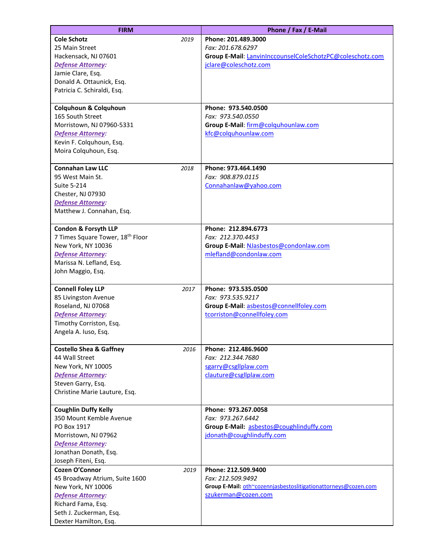| <b>FIRM</b>                                                                                                                                                               |      | Phone / Fax / E-Mail                                                                                                              |
|---------------------------------------------------------------------------------------------------------------------------------------------------------------------------|------|-----------------------------------------------------------------------------------------------------------------------------------|
| <b>Cole Schotz</b><br>25 Main Street<br>Hackensack, NJ 07601<br>Defense Attorney:<br>Jamie Clare, Esq.<br>Donald A. Ottaunick, Esq.<br>Patricia C. Schiraldi, Esq.        | 2019 | Phone: 201.489.3000<br>Fax: 201.678.6297<br>Group E-Mail: LanvinInccounselColeSchotzPC@coleschotz.com<br>jclare@coleschotz.com    |
| <b>Colquhoun &amp; Colquhoun</b><br>165 South Street<br>Morristown, NJ 07960-5331<br><b>Defense Attorney:</b><br>Kevin F. Colquhoun, Esq.<br>Moira Colquhoun, Esq.        |      | Phone: 973.540.0500<br>Fax: 973.540.0550<br>Group E-Mail: firm@colquhounlaw.com<br>kfc@colquhounlaw.com                           |
| <b>Connahan Law LLC</b><br>95 West Main St.<br>Suite 5-214<br>Chester, NJ 07930<br><b>Defense Attorney:</b><br>Matthew J. Connahan, Esq.                                  | 2018 | Phone: 973.464.1490<br>Fax: 908.879.0115<br>Connahanlaw@yahoo.com                                                                 |
| Condon & Forsyth LLP<br>7 Times Square Tower, 18 <sup>th</sup> Floor<br>New York, NY 10036<br><b>Defense Attorney:</b><br>Marissa N. Lefland, Esq.<br>John Maggio, Esq.   |      | Phone: 212.894.6773<br>Fax: 212.370.4453<br>Group E-Mail: NJasbestos@condonlaw.com<br>mlefland@condonlaw.com                      |
| <b>Connell Foley LLP</b><br>85 Livingston Avenue<br>Roseland, NJ 07068<br><b>Defense Attorney:</b><br>Timothy Corriston, Esq.<br>Angela A. Iuso, Esq.                     | 2017 | Phone: 973.535.0500<br>Fax: 973.535.9217<br>Group E-Mail: asbestos@connellfoley.com<br>tcorriston@connellfoley.com                |
| <b>Costello Shea &amp; Gaffney</b><br>44 Wall Street<br>New York, NY 10005<br><b>Defense Attorney:</b><br>Steven Garry, Esq.<br>Christine Marie Lauture, Esq.             | 2016 | Phone: 212.486.9600<br>Fax: 212.344.7680<br>sgarry@csgllplaw.com<br>clauture@csgllplaw.com                                        |
| <b>Coughlin Duffy Kelly</b><br>350 Mount Kemble Avenue<br>PO Box 1917<br>Morristown, NJ 07962<br><b>Defense Attorney:</b><br>Jonathan Donath, Esq.<br>Joseph Fiteni, Esq. |      | Phone: 973.267.0058<br>Fax: 973.267.6442<br>Group E-Mail: asbestos@coughlinduffy.com<br>jdonath@coughlinduffy.com                 |
| Cozen O'Connor<br>45 Broadway Atrium, Suite 1600<br>New York, NY 10006<br>Defense Attorney:<br>Richard Fama, Esq.<br>Seth J. Zuckerman, Esq.<br>Dexter Hamilton, Esq.     | 2019 | Phone: 212.509.9400<br>Fax: 212.509.9492<br>Group E-Mail: oth~cozennjasbestoslitigationattorneys@cozen.com<br>szukerman@cozen.com |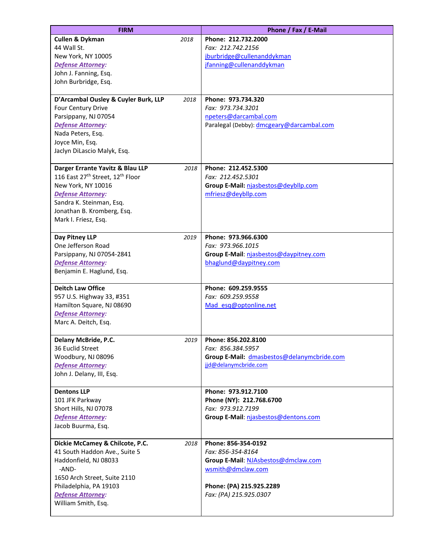| <b>FIRM</b>                          |      | Phone / Fax / E-Mail                       |
|--------------------------------------|------|--------------------------------------------|
| <b>Cullen &amp; Dykman</b>           | 2018 | Phone: 212.732.2000                        |
| 44 Wall St.                          |      | Fax: 212.742.2156                          |
| New York, NY 10005                   |      | jburbridge@cullenanddykman                 |
| <b>Defense Attorney:</b>             |      | jfanning@cullenanddykman                   |
| John J. Fanning, Esq.                |      |                                            |
| John Burbridge, Esq.                 |      |                                            |
| D'Arcambal Ousley & Cuyler Burk, LLP | 2018 | Phone: 973.734.320                         |
| Four Century Drive                   |      | Fax: 973.734.3201                          |
| Parsippany, NJ 07054                 |      | npeters@darcambal.com                      |
| <b>Defense Attorney:</b>             |      | Paralegal (Debby): dmcgeary@darcambal.com  |
| Nada Peters, Esq.                    |      |                                            |
| Joyce Min, Esq.                      |      |                                            |
| Jaclyn DiLascio Malyk, Esq.          |      |                                            |
| Darger Errante Yavitz & Blau LLP     | 2018 | Phone: 212.452.5300                        |
| 116 East 27th Street, 12th Floor     |      | Fax: 212.452.5301                          |
| New York, NY 10016                   |      | Group E-Mail: njasbestos@deybllp.com       |
| <b>Defense Attorney:</b>             |      | mfriesz@deybllp.com                        |
| Sandra K. Steinman, Esq.             |      |                                            |
| Jonathan B. Kromberg, Esq.           |      |                                            |
| Mark I. Friesz, Esq.                 |      |                                            |
| Day Pitney LLP                       | 2019 | Phone: 973.966.6300                        |
| One Jefferson Road                   |      | Fax: 973.966.1015                          |
| Parsippany, NJ 07054-2841            |      | Group E-Mail: njasbestos@daypitney.com     |
| Defense Attorney:                    |      | bhaglund@daypitney.com                     |
| Benjamin E. Haglund, Esq.            |      |                                            |
| <b>Deitch Law Office</b>             |      | Phone: 609.259.9555                        |
| 957 U.S. Highway 33, #351            |      | Fax: 609.259.9558                          |
| Hamilton Square, NJ 08690            |      | Mad esq@optonline.net                      |
| <b>Defense Attorney:</b>             |      |                                            |
| Marc A. Deitch, Esq.                 |      |                                            |
|                                      |      |                                            |
| Delany McBride, P.C.                 |      | 2019   Phone: 856.202.8100                 |
| 36 Euclid Street                     |      | Fax: 856.384.5957                          |
| Woodbury, NJ 08096                   |      | Group E-Mail: dmasbestos@delanymcbride.com |
| <b>Defense Attorney:</b>             |      | jjd@delanymcbride.com                      |
| John J. Delany, III, Esq.            |      |                                            |
| <b>Dentons LLP</b>                   |      | Phone: 973.912.7100                        |
| 101 JFK Parkway                      |      | Phone (NY): 212.768.6700                   |
| Short Hills, NJ 07078                |      | Fax: 973.912.7199                          |
| <b>Defense Attorney:</b>             |      | Group E-Mail: njasbestos@dentons.com       |
| Jacob Buurma, Esq.                   |      |                                            |
| Dickie McCamey & Chilcote, P.C.      | 2018 | Phone: 856-354-0192                        |
| 41 South Haddon Ave., Suite 5        |      | Fax: 856-354-8164                          |
| Haddonfield, NJ 08033                |      | Group E-Mail: NJAsbestos@dmclaw.com        |
| -AND-                                |      | wsmith@dmclaw.com                          |
| 1650 Arch Street, Suite 2110         |      |                                            |
| Philadelphia, PA 19103               |      | Phone: (PA) 215.925.2289                   |
| <b>Defense Attorney:</b>             |      | Fax: (PA) 215.925.0307                     |
| William Smith, Esq.                  |      |                                            |
|                                      |      |                                            |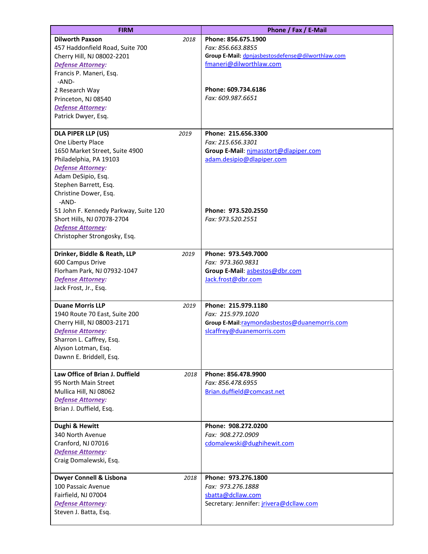| <b>FIRM</b>                           |      | Phone / Fax / E-Mail                              |
|---------------------------------------|------|---------------------------------------------------|
| <b>Dilworth Paxson</b>                | 2018 | Phone: 856.675.1900                               |
| 457 Haddonfield Road, Suite 700       |      | Fax: 856.663.8855                                 |
| Cherry Hill, NJ 08002-2201            |      | Group E-Mail: dpnjasbestosdefense@dilworthlaw.com |
| <b>Defense Attorney:</b>              |      | fmaneri@dilworthlaw.com                           |
| Francis P. Maneri, Esq.               |      |                                                   |
| -AND-                                 |      |                                                   |
| 2 Research Way                        |      | Phone: 609.734.6186<br>Fax: 609.987.6651          |
| Princeton, NJ 08540                   |      |                                                   |
| <b>Defense Attorney:</b>              |      |                                                   |
| Patrick Dwyer, Esq.                   |      |                                                   |
| DLA PIPER LLP (US)                    | 2019 | Phone: 215.656.3300                               |
| One Liberty Place                     |      | Fax: 215.656.3301                                 |
| 1650 Market Street, Suite 4900        |      | Group E-Mail: nimasstort@dlapiper.com             |
| Philadelphia, PA 19103                |      | adam.desipio@dlapiper.com                         |
| <b>Defense Attorney:</b>              |      |                                                   |
| Adam DeSipio, Esq.                    |      |                                                   |
| Stephen Barrett, Esq.                 |      |                                                   |
| Christine Dower, Esq.                 |      |                                                   |
| -AND-                                 |      |                                                   |
| 51 John F. Kennedy Parkway, Suite 120 |      | Phone: 973.520.2550                               |
| Short Hills, NJ 07078-2704            |      | Fax: 973.520.2551                                 |
| <b>Defense Attorney:</b>              |      |                                                   |
| Christopher Strongosky, Esq.          |      |                                                   |
| Drinker, Biddle & Reath, LLP          | 2019 | Phone: 973.549.7000                               |
| 600 Campus Drive                      |      | Fax: 973.360.9831                                 |
| Florham Park, NJ 07932-1047           |      | Group E-Mail: asbestos@dbr.com                    |
| <b>Defense Attorney:</b>              |      | Jack.frost@dbr.com                                |
| Jack Frost, Jr., Esq.                 |      |                                                   |
|                                       |      |                                                   |
| <b>Duane Morris LLP</b>               | 2019 | Phone: 215.979.1180                               |
| 1940 Route 70 East, Suite 200         |      | Fax: 215.979.1020                                 |
| Cherry Hill, NJ 08003-2171            |      | Group E-Mail:raymondasbestos@duanemorris.com      |
| <b>Defense Attorney:</b>              |      | slcaffrey@duanemorris.com                         |
| Sharron L. Caffrey, Esq.              |      |                                                   |
| Alyson Lotman, Esq.                   |      |                                                   |
| Dawnn E. Briddell, Esq.               |      |                                                   |
| Law Office of Brian J. Duffield       | 2018 | Phone: 856.478.9900                               |
| 95 North Main Street                  |      | Fax: 856.478.6955                                 |
| Mullica Hill, NJ 08062                |      | Brian.duffield@comcast.net                        |
| <b>Defense Attorney:</b>              |      |                                                   |
| Brian J. Duffield, Esq.               |      |                                                   |
|                                       |      |                                                   |
| Dughi & Hewitt                        |      | Phone: 908.272.0200                               |
| 340 North Avenue                      |      | Fax: 908.272.0909                                 |
| Cranford, NJ 07016                    |      | cdomalewski@dughihewit.com                        |
| <b>Defense Attorney:</b>              |      |                                                   |
| Craig Domalewski, Esq.                |      |                                                   |
| Dwyer Connell & Lisbona               | 2018 | Phone: 973.276.1800                               |
| 100 Passaic Avenue                    |      | Fax: 973.276.1888                                 |
| Fairfield, NJ 07004                   |      | sbatta@dcllaw.com                                 |
| <b>Defense Attorney:</b>              |      | Secretary: Jennifer: jrivera@dcllaw.com           |
| Steven J. Batta, Esq.                 |      |                                                   |
|                                       |      |                                                   |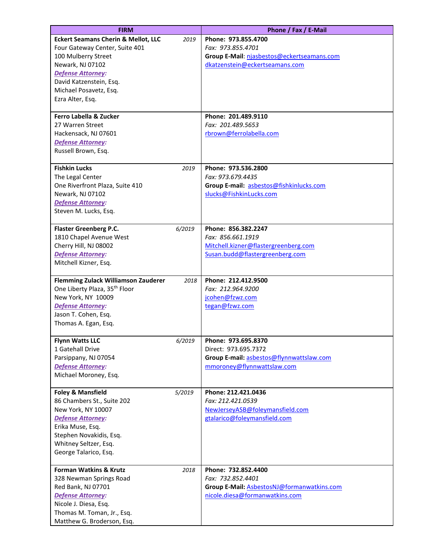| <b>FIRM</b>                                    |        | Phone / Fax / E-Mail                       |
|------------------------------------------------|--------|--------------------------------------------|
| <b>Eckert Seamans Cherin &amp; Mellot, LLC</b> | 2019   | Phone: 973.855.4700                        |
| Four Gateway Center, Suite 401                 |        | Fax: 973.855.4701                          |
| 100 Mulberry Street                            |        | Group E-Mail: njasbestos@eckertseamans.com |
| Newark, NJ 07102                               |        | dkatzenstein@eckertseamans.com             |
| <b>Defense Attorney:</b>                       |        |                                            |
| David Katzenstein, Esq.                        |        |                                            |
| Michael Posavetz, Esq.                         |        |                                            |
| Ezra Alter, Esq.                               |        |                                            |
| Ferro Labella & Zucker                         |        | Phone: 201.489.9110                        |
| 27 Warren Street                               |        | Fax: 201.489.5653                          |
| Hackensack, NJ 07601                           |        | rbrown@ferrolabella.com                    |
| <b>Defense Attorney:</b>                       |        |                                            |
| Russell Brown, Esq.                            |        |                                            |
|                                                |        |                                            |
| <b>Fishkin Lucks</b>                           | 2019   | Phone: 973.536.2800                        |
| The Legal Center                               |        | Fax: 973.679.4435                          |
| One Riverfront Plaza, Suite 410                |        | Group E-mail: asbestos@fishkinlucks.com    |
| Newark, NJ 07102                               |        | slucks@FishkinLucks.com                    |
| <b>Defense Attorney:</b>                       |        |                                            |
| Steven M. Lucks, Esq.                          |        |                                            |
| <b>Flaster Greenberg P.C.</b>                  | 6/2019 | Phone: 856.382.2247                        |
| 1810 Chapel Avenue West                        |        | Fax: 856.661.1919                          |
| Cherry Hill, NJ 08002                          |        | Mitchell.kizner@flastergreenberg.com       |
| <b>Defense Attorney:</b>                       |        | Susan.budd@flastergreenberg.com            |
| Mitchell Kizner, Esq.                          |        |                                            |
|                                                |        |                                            |
| <b>Flemming Zulack Williamson Zauderer</b>     | 2018   | Phone: 212.412.9500                        |
| One Liberty Plaza, 35 <sup>th</sup> Floor      |        | Fax: 212.964.9200                          |
| New York, NY 10009                             |        | jcohen@fzwz.com                            |
| <b>Defense Attorney:</b>                       |        | tegan@fzwz.com                             |
| Jason T. Cohen, Esq.<br>Thomas A. Egan, Esq.   |        |                                            |
|                                                |        |                                            |
| <b>Flynn Watts LLC</b>                         | 6/2019 | Phone: 973.695.8370                        |
| 1 Gatehall Drive                               |        | Direct: 973.695.7372                       |
| Parsippany, NJ 07054                           |        | Group E-mail: asbestos@flynnwattslaw.com   |
| <b>Defense Attorney:</b>                       |        | mmoroney@flynnwattslaw.com                 |
| Michael Moroney, Esq.                          |        |                                            |
| <b>Foley &amp; Mansfield</b>                   | 5/2019 | Phone: 212.421.0436                        |
| 86 Chambers St., Suite 202                     |        | Fax: 212.421.0539                          |
| New York, NY 10007                             |        | NewJerseyASB@foleymansfield.com            |
| <b>Defense Attorney:</b>                       |        | gtalarico@foleymansfield.com               |
| Erika Muse, Esq.                               |        |                                            |
| Stephen Novakidis, Esq.                        |        |                                            |
| Whitney Seltzer, Esq.                          |        |                                            |
| George Talarico, Esq.                          |        |                                            |
| <b>Forman Watkins &amp; Krutz</b>              | 2018   | Phone: 732.852.4400                        |
| 328 Newman Springs Road                        |        | Fax: 732.852.4401                          |
| Red Bank, NJ 07701                             |        | Group E-Mail: AsbestosNJ@formanwatkins.com |
| Defense Attorney:                              |        | nicole.diesa@formanwatkins.com             |
| Nicole J. Diesa, Esq.                          |        |                                            |
| Thomas M. Toman, Jr., Esq.                     |        |                                            |
| Matthew G. Broderson, Esq.                     |        |                                            |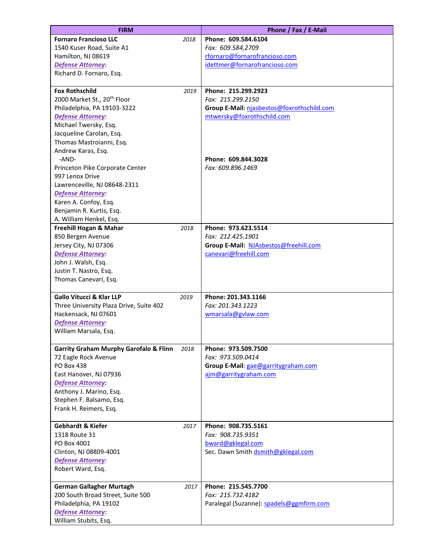| <b>FIRM</b>                                       |      | Phone / Fax / E-Mail                       |
|---------------------------------------------------|------|--------------------------------------------|
| <b>Fornaro Francioso LLC</b>                      | 2018 | Phone: 609.584.6104                        |
| 1540 Kuser Road, Suite A1                         |      | Fax: 609.584,2709                          |
| Hamilton, NJ 08619                                |      | rfornaro@fornarofrancioso.com              |
| <b>Defense Attorney:</b>                          |      | idettmer@fornarofrancioso.com              |
| Richard D. Fornaro, Esq.                          |      |                                            |
|                                                   |      |                                            |
| <b>Fox Rothschild</b>                             | 2019 | Phone: 215.299.2923                        |
| 2000 Market St., 20 <sup>th</sup> Floor           |      | Fax: 215.299.2150                          |
| Philadelphia, PA 19103-3222                       |      | Group E-Mail: njasbestos@foxrothschild.com |
| <b>Defense Attorney:</b>                          |      | mtwersky@foxrothschild.com                 |
| Michael Twersky, Esq.                             |      |                                            |
|                                                   |      |                                            |
| Jacqueline Carolan, Esq.                          |      |                                            |
| Thomas Mastroianni, Esq.                          |      |                                            |
| Andrew Karas, Esq.                                |      |                                            |
| -AND-                                             |      | Phone: 609.844.3028                        |
| Princeton Pike Corporate Center                   |      | Fax: 609.896.1469                          |
| 997 Lenox Drive                                   |      |                                            |
| Lawrenceville, NJ 08648-2311                      |      |                                            |
| <b>Defense Attorney:</b>                          |      |                                            |
| Karen A. Confoy, Esq.                             |      |                                            |
| Benjamin R. Kurtis, Esq.                          |      |                                            |
| A. William Henkel, Esq.                           |      |                                            |
| Freehill Hogan & Mahar                            | 2018 | Phone: 973.623.5514                        |
| 850 Bergen Avenue                                 |      | Fax: 212.425.1901                          |
| Jersey City, NJ 07306                             |      | Group E-Mail: NJAsbestos@freehill.com      |
| <b>Defense Attorney:</b>                          |      | canevari@freehill.com                      |
| John J. Walsh, Esq.                               |      |                                            |
| Justin T. Nastro, Esq.                            |      |                                            |
| Thomas Canevari, Esq.                             |      |                                            |
|                                                   |      |                                            |
| <b>Gallo Vitucci &amp; Klar LLP</b>               | 2019 | Phone: 201.343.1166                        |
| Three University Plaza Drive, Suite 402           |      | Fax: 201.343.1223                          |
| Hackensack, NJ 07601                              |      | wmarsala@gvlaw.com                         |
| <b>Defense Attorney:</b>                          |      |                                            |
| William Marsala, Esq.                             |      |                                            |
|                                                   |      |                                            |
| <b>Garrity Graham Murphy Garofalo &amp; Flinn</b> | 2018 | Phone: 973.509.7500                        |
| 72 Eagle Rock Avenue                              |      | Fax: 973.509.0414                          |
| PO Box 438                                        |      | Group E-Mail: gae@garritygraham.com        |
| East Hanover, NJ 07936                            |      | ajm@garritygraham.com                      |
| <b>Defense Attorney:</b>                          |      |                                            |
| Anthony J. Marino, Esq.                           |      |                                            |
| Stephen F. Balsamo, Esq.                          |      |                                            |
| Frank H. Reimers, Esq.                            |      |                                            |
|                                                   |      |                                            |
| <b>Gebhardt &amp; Kiefer</b>                      | 2017 | Phone: 908.735.5161                        |
| 1318 Route 31                                     |      | Fax: 908.735.9351                          |
| PO Box 4001                                       |      | bward@gklegal.com                          |
| Clinton, NJ 08809-4001                            |      | Sec. Dawn Smith dsmith@gklegal.com         |
| <b>Defense Attorney:</b>                          |      |                                            |
| Robert Ward, Esq.                                 |      |                                            |
| <b>German Gallagher Murtagh</b>                   | 2017 | Phone: 215.545.7700                        |
| 200 South Broad Street, Suite 500                 |      | Fax: 215.732.4182                          |
| Philadelphia, PA 19102                            |      | Paralegal (Suzanne): spadels@ggmfirm.com   |
| <b>Defense Attorney:</b>                          |      |                                            |
| William Stubits, Esq.                             |      |                                            |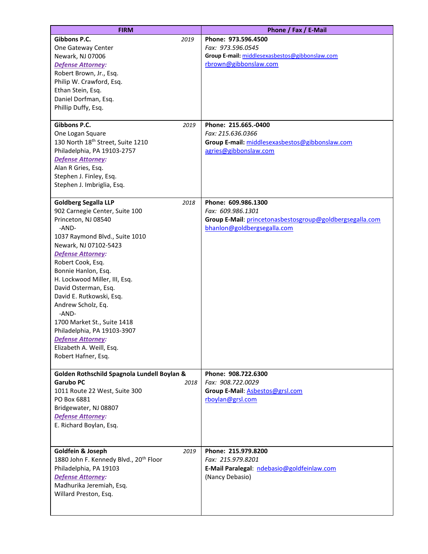| <b>FIRM</b>                                                       | Phone / Fax / E-Mail                                     |
|-------------------------------------------------------------------|----------------------------------------------------------|
| Gibbons P.C.<br>2019                                              | Phone: 973.596.4500                                      |
| One Gateway Center                                                | Fax: 973.596.0545                                        |
| Newark, NJ 07006                                                  | Group E-mail: middlesexasbestos@gibbonslaw.com           |
| Defense Attorney:                                                 | rbrown@gibbonslaw.com                                    |
| Robert Brown, Jr., Esq.                                           |                                                          |
| Philip W. Crawford, Esq.                                          |                                                          |
| Ethan Stein, Esq.                                                 |                                                          |
| Daniel Dorfman, Esq.                                              |                                                          |
| Phillip Duffy, Esq.                                               |                                                          |
|                                                                   |                                                          |
| Gibbons P.C.<br>2019                                              | Phone: 215.665.-0400<br>Fax: 215.636.0366                |
| One Logan Square<br>130 North 18 <sup>th</sup> Street, Suite 1210 | Group E-mail: middlesexasbestos@gibbonslaw.com           |
| Philadelphia, PA 19103-2757                                       | agries@gibbonslaw.com                                    |
| Defense Attorney:                                                 |                                                          |
| Alan R Gries, Esq.                                                |                                                          |
| Stephen J. Finley, Esq.                                           |                                                          |
| Stephen J. Imbriglia, Esq.                                        |                                                          |
|                                                                   |                                                          |
| <b>Goldberg Segalla LLP</b><br>2018                               | Phone: 609.986.1300                                      |
| 902 Carnegie Center, Suite 100                                    | Fax: 609.986.1301                                        |
| Princeton, NJ 08540                                               | Group E-Mail: princetonasbestosgroup@goldbergsegalla.com |
| -AND-                                                             | bhanlon@goldbergsegalla.com                              |
| 1037 Raymond Blvd., Suite 1010                                    |                                                          |
| Newark, NJ 07102-5423                                             |                                                          |
| <b>Defense Attorney:</b>                                          |                                                          |
| Robert Cook, Esq.                                                 |                                                          |
| Bonnie Hanlon, Esq.                                               |                                                          |
| H. Lockwood Miller, III, Esq.                                     |                                                          |
| David Osterman, Esq.                                              |                                                          |
| David E. Rutkowski, Esq.                                          |                                                          |
| Andrew Scholz, Eq.<br>-AND-                                       |                                                          |
| 1700 Market St., Suite 1418                                       |                                                          |
| Philadelphia, PA 19103-3907                                       |                                                          |
| Defense Attorney:                                                 |                                                          |
| Elizabeth A. Weill, Esq.                                          |                                                          |
| Robert Hafner, Esq.                                               |                                                          |
|                                                                   |                                                          |
| Golden Rothschild Spagnola Lundell Boylan &                       | Phone: 908.722.6300                                      |
| <b>Garubo PC</b><br>2018                                          | Fax: 908.722.0029                                        |
| 1011 Route 22 West, Suite 300                                     | Group E-Mail: Asbestos@grsl.com                          |
| PO Box 6881                                                       | rboylan@grsl.com                                         |
| Bridgewater, NJ 08807                                             |                                                          |
| <b>Defense Attorney:</b>                                          |                                                          |
| E. Richard Boylan, Esq.                                           |                                                          |
|                                                                   |                                                          |
| Goldfein & Joseph<br>2019                                         | Phone: 215.979.8200                                      |
| 1880 John F. Kennedy Blvd., 20 <sup>th</sup> Floor                | Fax: 215.979.8201                                        |
| Philadelphia, PA 19103                                            | E-Mail Paralegal: ndebasio@goldfeinlaw.com               |
| Defense Attorney:                                                 | (Nancy Debasio)                                          |
| Madhurika Jeremiah, Esq.                                          |                                                          |
| Willard Preston, Esq.                                             |                                                          |
|                                                                   |                                                          |
|                                                                   |                                                          |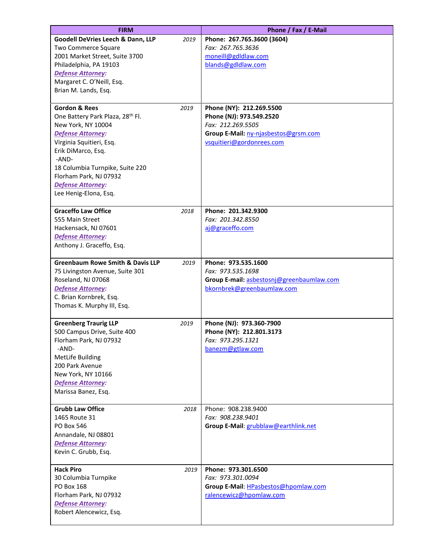| <b>FIRM</b>                                                                                                                                                                                                                                                                                      |      | Phone / Fax / E-Mail                                                                                                                           |
|--------------------------------------------------------------------------------------------------------------------------------------------------------------------------------------------------------------------------------------------------------------------------------------------------|------|------------------------------------------------------------------------------------------------------------------------------------------------|
| Goodell DeVries Leech & Dann, LLP<br><b>Two Commerce Square</b><br>2001 Market Street, Suite 3700<br>Philadelphia, PA 19103<br><b>Defense Attorney:</b><br>Margaret C. O'Neill, Esq.<br>Brian M. Lands, Esq.                                                                                     | 2019 | Phone: 267.765.3600 (3604)<br>Fax: 267.765.3636<br>moneill@gdldlaw.com<br>blands@gdldlaw.com                                                   |
| <b>Gordon &amp; Rees</b><br>One Battery Park Plaza, 28 <sup>th</sup> Fl.<br>New York, NY 10004<br><b>Defense Attorney:</b><br>Virginia Squitieri, Esq.<br>Erik DiMarco, Esq.<br>-AND-<br>18 Columbia Turnpike, Suite 220<br>Florham Park, NJ 07932<br>Defense Attorney:<br>Lee Henig-Elona, Esq. | 2019 | Phone (NY): 212.269.5500<br>Phone (NJ): 973.549.2520<br>Fax: 212.269.5505<br>Group E-Mail: ny-njasbestos@grsm.com<br>vsquitieri@gordonrees.com |
| <b>Graceffo Law Office</b><br>555 Main Street<br>Hackensack, NJ 07601<br><b>Defense Attorney:</b><br>Anthony J. Graceffo, Esq.                                                                                                                                                                   | 2018 | Phone: 201.342.9300<br>Fax: 201.342.8550<br>aj@graceffo.com                                                                                    |
| <b>Greenbaum Rowe Smith &amp; Davis LLP</b><br>75 Livingston Avenue, Suite 301<br>Roseland, NJ 07068<br><b>Defense Attorney:</b><br>C. Brian Kornbrek, Esq.<br>Thomas K. Murphy III, Esq.                                                                                                        | 2019 | Phone: 973.535.1600<br>Fax: 973.535.1698<br>Group E-mail: asbestosni@greenbaumlaw.com<br>bkornbrek@greenbaumlaw.com                            |
| <b>Greenberg Traurig LLP</b><br>500 Campus Drive, Suite 400<br>Florham Park, NJ 07932<br>-AND-<br><b>MetLife Building</b><br>200 Park Avenue<br>New York, NY 10166<br><b>Defense Attorney:</b><br>Marissa Banez, Esq.                                                                            | 2019 | Phone (NJ): 973.360-7900<br>Phone (NY): 212.801.3173<br>Fax: 973.295.1321<br>banezm@gtlaw.com                                                  |
| <b>Grubb Law Office</b><br>1465 Route 31<br><b>PO Box 546</b><br>Annandale, NJ 08801<br><b>Defense Attorney:</b><br>Kevin C. Grubb, Esq.                                                                                                                                                         | 2018 | Phone: 908.238.9400<br>Fax: 908.238.9401<br>Group E-Mail: grubblaw@earthlink.net                                                               |
| <b>Hack Piro</b><br>30 Columbia Turnpike<br>PO Box 168<br>Florham Park, NJ 07932<br><b>Defense Attorney:</b><br>Robert Alencewicz, Esq.                                                                                                                                                          | 2019 | Phone: 973.301.6500<br>Fax: 973.301.0094<br>Group E-Mail: HPasbestos@hpomlaw.com<br>ralencewicz@hpomlaw.com                                    |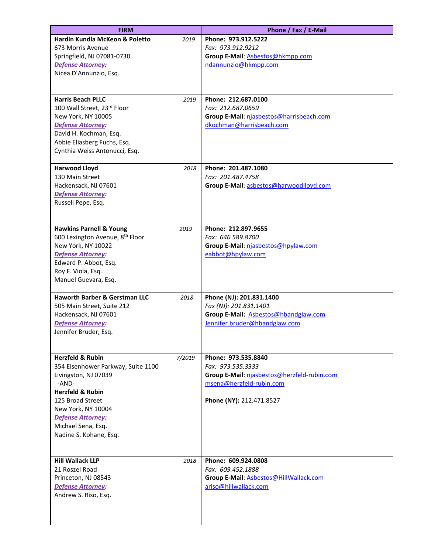| <b>FIRM</b>                                                                                                                                                                                                                                                | Phone / Fax / E-Mail                                                                                                                            |
|------------------------------------------------------------------------------------------------------------------------------------------------------------------------------------------------------------------------------------------------------------|-------------------------------------------------------------------------------------------------------------------------------------------------|
| <b>Hardin Kundla McKeon &amp; Poletto</b><br>2019<br>673 Morris Avenue<br>Springfield, NJ 07081-0730<br><b>Defense Attorney:</b><br>Nicea D'Annunzio, Esq.                                                                                                 | Phone: 973.912.5222<br>Fax: 973.912.9212<br>Group E-Mail: Asbestos@hkmpp.com<br>ndannunzio@hkmpp.com                                            |
| <b>Harris Beach PLLC</b><br>2019<br>100 Wall Street, 23rd Floor<br>New York, NY 10005<br><b>Defense Attorney:</b><br>David H. Kochman, Esq.<br>Abbie Eliasberg Fuchs, Esq.<br>Cynthia Weiss Antonucci, Esq.                                                | Phone: 212.687.0100<br>Fax: 212.687.0659<br>Group E-Mail: njasbestos@harrisbeach.com<br>dkochman@harrisbeach.com                                |
| <b>Harwood Lloyd</b><br>2018<br>130 Main Street<br>Hackensack, NJ 07601<br><b>Defense Attorney:</b><br>Russell Pepe, Esq.                                                                                                                                  | Phone: 201.487.1080<br>Fax: 201.487.4758<br>Group E-Mail: asbestos@harwoodlloyd.com                                                             |
| <b>Hawkins Parnell &amp; Young</b><br>2019<br>600 Lexington Avenue, 8 <sup>th</sup> Floor<br>New York, NY 10022<br><b>Defense Attorney:</b><br>Edward P. Abbot, Esq.<br>Roy F. Viola, Esq.<br>Manuel Guevara, Esq.                                         | Phone: 212.897.9655<br>Fax: 646.589.8700<br>Group E-Mail: njasbestos@hpylaw.com<br>eabbot@hpylaw.com                                            |
| <b>Haworth Barber &amp; Gerstman LLC</b><br>2018<br>505 Main Street, Suite 212<br>Hackensack, NJ 07601<br><b>Defense Attorney:</b><br>Jennifer Bruder, Esq.                                                                                                | Phone (NJ): 201.831.1400<br>Fax (NJ): 201.831.1401<br>Group E-Mail: Asbestos@hbandglaw.com<br>Jennifer.bruder@hbandglaw.com                     |
| <b>Herzfeld &amp; Rubin</b><br>7/2019<br>354 Eisenhower Parkway, Suite 1100<br>Livingston, NJ 07039<br>-AND-<br><b>Herzfeld &amp; Rubin</b><br>125 Broad Street<br>New York, NY 10004<br>Defense Attorney:<br>Michael Sena, Esq.<br>Nadine S. Kohane, Esq. | Phone: 973.535.8840<br>Fax: 973.535.3333<br>Group E-Mail: njasbestos@herzfeld-rubin.com<br>msena@herzfeld-rubin.com<br>Phone (NY): 212.471.8527 |
| <b>Hill Wallack LLP</b><br>2018<br>21 Roszel Road<br>Princeton, NJ 08543<br><b>Defense Attorney:</b><br>Andrew S. Riso, Esq.                                                                                                                               | Phone: 609.924.0808<br>Fax: 609.452.1888<br>Group E-Mail: Asbestos@HillWallack.com<br>ariso@hillwallack.com                                     |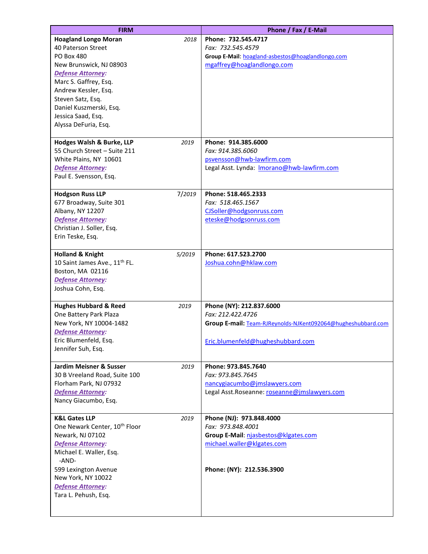| <b>FIRM</b>                                                  |        | Phone / Fax / E-Mail                                         |
|--------------------------------------------------------------|--------|--------------------------------------------------------------|
| <b>Hoagland Longo Moran</b>                                  | 2018   | Phone: 732.545.4717                                          |
| 40 Paterson Street                                           |        | Fax: 732.545.4579                                            |
| <b>PO Box 480</b>                                            |        | Group E-Mail: hoagland-asbestos@hoaglandlongo.com            |
| New Brunswick, NJ 08903                                      |        | mgaffrey@hoaglandlongo.com                                   |
| <b>Defense Attorney:</b>                                     |        |                                                              |
| Marc S. Gaffrey, Esq.                                        |        |                                                              |
| Andrew Kessler, Esq.                                         |        |                                                              |
| Steven Satz, Esq.                                            |        |                                                              |
| Daniel Kuszmerski, Esq.                                      |        |                                                              |
| Jessica Saad, Esq.                                           |        |                                                              |
| Alyssa DeFuria, Esq.                                         |        |                                                              |
| Hodges Walsh & Burke, LLP                                    | 2019   | Phone: 914.385.6000                                          |
| 55 Church Street - Suite 211                                 |        | Fax: 914.385.6060                                            |
| White Plains, NY 10601                                       |        | psvensson@hwb-lawfirm.com                                    |
| <b>Defense Attorney:</b>                                     |        | Legal Asst. Lynda: Imorano@hwb-lawfirm.com                   |
| Paul E. Svensson, Esq.                                       |        |                                                              |
|                                                              |        |                                                              |
| <b>Hodgson Russ LLP</b>                                      | 7/2019 | Phone: 518.465.2333                                          |
| 677 Broadway, Suite 301                                      |        | Fax: 518.465.1567                                            |
| Albany, NY 12207                                             |        | CJSoller@hodgsonruss.com                                     |
| <b>Defense Attorney:</b>                                     |        | eteske@hodgsonruss.com                                       |
| Christian J. Soller, Esq.                                    |        |                                                              |
| Erin Teske, Esq.                                             |        |                                                              |
| <b>Holland &amp; Knight</b>                                  | 5/2019 | Phone: 617.523.2700                                          |
| 10 Saint James Ave., 11 <sup>th</sup> FL.                    |        | Joshua.cohn@hklaw.com                                        |
| Boston, MA 02116                                             |        |                                                              |
| <b>Defense Attorney:</b>                                     |        |                                                              |
| Joshua Cohn, Esq.                                            |        |                                                              |
| <b>Hughes Hubbard &amp; Reed</b>                             | 2019   | Phone (NY): 212.837.6000                                     |
| One Battery Park Plaza                                       |        | Fax: 212.422.4726                                            |
| New York, NY 10004-1482                                      |        | Group E-mail: Team-RJReynolds-NJKent092064@hugheshubbard.com |
| <b>Defense Attorney:</b>                                     |        |                                                              |
| Eric Blumenfeld, Esq.                                        |        | Eric.blumenfeld@hugheshubbard.com                            |
| Jennifer Suh, Esq.                                           |        |                                                              |
| Jardim Meisner & Susser                                      | 2019   | Phone: 973.845.7640                                          |
| 30 B Vreeland Road, Suite 100                                |        | Fax: 973.845.7645                                            |
| Florham Park, NJ 07932                                       |        | nancygiacumbo@jmslawyers.com                                 |
| <b>Defense Attorney:</b>                                     |        | Legal Asst.Roseanne: roseanne@jmslawyers.com                 |
| Nancy Giacumbo, Esq.                                         |        |                                                              |
|                                                              |        |                                                              |
| <b>K&amp;L Gates LLP</b>                                     | 2019   | Phone (NJ): 973.848.4000                                     |
| One Newark Center, 10 <sup>th</sup> Floor                    |        | Fax: 973.848.4001                                            |
| Newark, NJ 07102                                             |        | Group E-Mail: njasbestos@klgates.com                         |
| <b>Defense Attorney:</b><br>Michael E. Waller, Esq.<br>-AND- |        | michael.waller@klgates.com                                   |
| 599 Lexington Avenue                                         |        | Phone: (NY): 212.536.3900                                    |
| New York, NY 10022                                           |        |                                                              |
| <b>Defense Attorney:</b>                                     |        |                                                              |
| Tara L. Pehush, Esq.                                         |        |                                                              |
|                                                              |        |                                                              |
|                                                              |        |                                                              |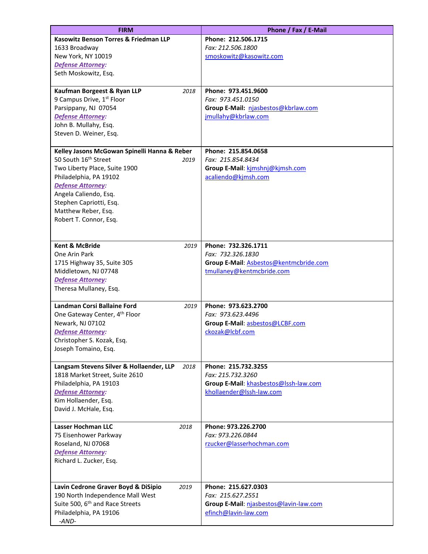| <b>FIRM</b>                                      | Phone / Fax / E-Mail                   |
|--------------------------------------------------|----------------------------------------|
| Kasowitz Benson Torres & Friedman LLP            | Phone: 212.506.1715                    |
| 1633 Broadway                                    | Fax: 212.506.1800                      |
| New York, NY 10019                               | smoskowitz@kasowitz.com                |
| <b>Defense Attorney:</b>                         |                                        |
| Seth Moskowitz, Esq.                             |                                        |
| Kaufman Borgeest & Ryan LLP<br>2018              | Phone: 973.451.9600                    |
| 9 Campus Drive, 1 <sup>st</sup> Floor            | Fax: 973.451.0150                      |
| Parsippany, NJ 07054                             | Group E-Mail: njasbestos@kbrlaw.com    |
| <b>Defense Attorney:</b>                         | jmullahy@kbrlaw.com                    |
| John B. Mullahy, Esq.                            |                                        |
| Steven D. Weiner, Esq.                           |                                        |
| Kelley Jasons McGowan Spinelli Hanna & Reber     | Phone: 215.854.0658                    |
| 50 South 16 <sup>th</sup> Street<br>2019         | Fax: 215.854.8434                      |
| Two Liberty Place, Suite 1900                    | Group E-Mail: kimshnj@kjmsh.com        |
| Philadelphia, PA 19102                           | acaliendo@kjmsh.com                    |
| <b>Defense Attorney:</b>                         |                                        |
| Angela Caliendo, Esq.                            |                                        |
| Stephen Capriotti, Esq.                          |                                        |
| Matthew Reber, Esq.                              |                                        |
| Robert T. Connor, Esq.                           |                                        |
|                                                  |                                        |
| <b>Kent &amp; McBride</b><br>2019                | Phone: 732.326.1711                    |
| One Arin Park                                    | Fax: 732.326.1830                      |
| 1715 Highway 35, Suite 305                       | Group E-Mail: Asbestos@kentmcbride.com |
| Middletown, NJ 07748                             | tmullaney@kentmcbride.com              |
| Defense Attorney:                                |                                        |
| Theresa Mullaney, Esq.                           |                                        |
| Landman Corsi Ballaine Ford<br>2019              | Phone: 973.623.2700                    |
| One Gateway Center, 4 <sup>th</sup> Floor        | Fax: 973.623.4496                      |
| Newark, NJ 07102                                 | Group E-Mail: asbestos@LCBF.com        |
| <b>Defense Attorney:</b>                         | ckozak@lcbf.com                        |
| Christopher S. Kozak, Esq.                       |                                        |
| Joseph Tomaino, Esq.                             |                                        |
|                                                  |                                        |
| Langsam Stevens Silver & Hollaender, LLP<br>2018 | Phone: 215.732.3255                    |
| 1818 Market Street, Suite 2610                   | Fax: 215.732.3260                      |
| Philadelphia, PA 19103                           | Group E-Mail: khasbestos@lssh-law.com  |
| <b>Defense Attorney:</b><br>Kim Hollaender, Esq. | khollaender@lssh-law.com               |
| David J. McHale, Esq.                            |                                        |
|                                                  |                                        |
| <b>Lasser Hochman LLC</b><br>2018                | Phone: 973.226.2700                    |
| 75 Eisenhower Parkway                            | Fax: 973.226.0844                      |
| Roseland, NJ 07068                               | rzucker@lasserhochman.com              |
| <b>Defense Attorney:</b>                         |                                        |
| Richard L. Zucker, Esq.                          |                                        |
|                                                  |                                        |
| Lavin Cedrone Graver Boyd & DiSipio<br>2019      | Phone: 215.627.0303                    |
| 190 North Independence Mall West                 | Fax: 215.627.2551                      |
| Suite 500, 6 <sup>th</sup> and Race Streets      | Group E-Mail: njasbestos@lavin-law.com |
| Philadelphia, PA 19106                           | efinch@lavin-law.com                   |
| -AND-                                            |                                        |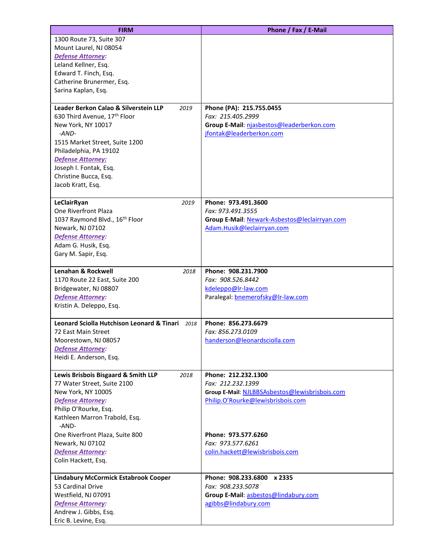| <b>FIRM</b>                                                                               | Phone / Fax / E-Mail                                                                |
|-------------------------------------------------------------------------------------------|-------------------------------------------------------------------------------------|
| 1300 Route 73, Suite 307                                                                  |                                                                                     |
| Mount Laurel, NJ 08054                                                                    |                                                                                     |
| <b>Defense Attorney:</b>                                                                  |                                                                                     |
| Leland Kellner, Esq.                                                                      |                                                                                     |
| Edward T. Finch, Esq.                                                                     |                                                                                     |
| Catherine Brunermer, Esq.                                                                 |                                                                                     |
| Sarina Kaplan, Esq.                                                                       |                                                                                     |
|                                                                                           |                                                                                     |
| Leader Berkon Calao & Silverstein LLP<br>2019<br>630 Third Avenue, 17 <sup>th</sup> Floor | Phone (PA): 215.755.0455<br>Fax: 215.405.2999                                       |
| New York, NY 10017                                                                        | Group E-Mail: njasbestos@leaderberkon.com                                           |
| $-AND-$                                                                                   | jfontak@leaderberkon.com                                                            |
| 1515 Market Street, Suite 1200                                                            |                                                                                     |
| Philadelphia, PA 19102                                                                    |                                                                                     |
| <b>Defense Attorney:</b>                                                                  |                                                                                     |
| Joseph I. Fontak, Esq.                                                                    |                                                                                     |
| Christine Bucca, Esq.                                                                     |                                                                                     |
| Jacob Kratt, Esq.                                                                         |                                                                                     |
|                                                                                           |                                                                                     |
| LeClairRyan<br>2019                                                                       | Phone: 973.491.3600                                                                 |
| One Riverfront Plaza                                                                      | Fax: 973.491.3555                                                                   |
| 1037 Raymond Blvd., 16 <sup>th</sup> Floor                                                | Group E-Mail: Newark-Asbestos@leclairryan.com                                       |
| Newark, NJ 07102                                                                          | Adam.Husik@leclairryan.com                                                          |
| <b>Defense Attorney:</b>                                                                  |                                                                                     |
| Adam G. Husik, Esq.<br>Gary M. Sapir, Esq.                                                |                                                                                     |
|                                                                                           |                                                                                     |
| Lenahan & Rockwell<br>2018                                                                | Phone: 908.231.7900                                                                 |
| 1170 Route 22 East, Suite 200                                                             | Fax: 908.526.8442                                                                   |
| Bridgewater, NJ 08807                                                                     | kdeleppo@lr-law.com                                                                 |
| <b>Defense Attorney:</b>                                                                  | Paralegal: bnemerofsky@Ir-law.com                                                   |
| Kristin A. Deleppo, Esq.                                                                  |                                                                                     |
| <b>Leonard Sciolla Hutchison Leonard &amp; Tinari</b><br>2018                             | Phone: 856.273.6679                                                                 |
| 72 East Main Street                                                                       | Fax: 856.273.0109                                                                   |
| Moorestown, NJ 08057                                                                      | handerson@leonardsciolla.com                                                        |
| <b>Defense Attorney:</b>                                                                  |                                                                                     |
| Heidi E. Anderson, Esq.                                                                   |                                                                                     |
|                                                                                           |                                                                                     |
| Lewis Brisbois Bisgaard & Smith LLP<br>2018                                               | Phone: 212.232.1300                                                                 |
| 77 Water Street, Suite 2100                                                               | Fax: 212.232.1399                                                                   |
| New York, NY 10005<br><b>Defense Attorney:</b>                                            | Group E-Mail: NJLBBSAsbestos@lewisbrisbois.com<br>Philip.O'Rourke@lewisbrisbois.com |
| Philip O'Rourke, Esq.                                                                     |                                                                                     |
| Kathleen Marron Trabold, Esq.                                                             |                                                                                     |
| -AND-                                                                                     |                                                                                     |
| One Riverfront Plaza, Suite 800                                                           | Phone: 973.577.6260<br>Fax: 973.577.6261                                            |
| Newark, NJ 07102<br><b>Defense Attorney:</b>                                              | colin.hackett@lewisbrisbois.com                                                     |
| Colin Hackett, Esq.                                                                       |                                                                                     |
|                                                                                           |                                                                                     |
| <b>Lindabury McCormick Estabrook Cooper</b>                                               | Phone: 908.233.6800 x 2335                                                          |
| 53 Cardinal Drive                                                                         | Fax: 908.233.5078                                                                   |
| Westfield, NJ 07091                                                                       | Group E-Mail: asbestos@lindabury.com                                                |
| <b>Defense Attorney:</b>                                                                  | agibbs@lindabury.com                                                                |
| Andrew J. Gibbs, Esq.                                                                     |                                                                                     |
| Eric B. Levine, Esq.                                                                      |                                                                                     |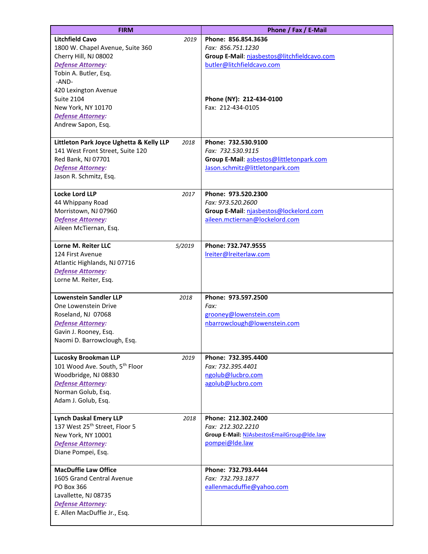| <b>FIRM</b>                                                                                                                                                                        | Phone / Fax / E-Mail                                                                                                    |
|------------------------------------------------------------------------------------------------------------------------------------------------------------------------------------|-------------------------------------------------------------------------------------------------------------------------|
| <b>Litchfield Cavo</b><br>2019<br>1800 W. Chapel Avenue, Suite 360<br>Cherry Hill, NJ 08002<br><b>Defense Attorney:</b><br>Tobin A. Butler, Esq.<br>-AND-                          | Phone: 856.854.3636<br>Fax: 856.751.1230<br>Group E-Mail: njasbestos@litchfieldcavo.com<br>butler@litchfieldcavo.com    |
| 420 Lexington Avenue<br><b>Suite 2104</b><br>New York, NY 10170<br><b>Defense Attorney:</b><br>Andrew Sapon, Esq.                                                                  | Phone (NY): 212-434-0100<br>Fax: 212-434-0105                                                                           |
| Littleton Park Joyce Ughetta & Kelly LLP<br>2018<br>141 West Front Street, Suite 120<br>Red Bank, NJ 07701<br><b>Defense Attorney:</b><br>Jason R. Schmitz, Esq.                   | Phone: 732.530.9100<br>Fax: 732.530.9115<br>Group E-Mail: asbestos@littletonpark.com<br>Jason.schmitz@littletonpark.com |
| <b>Locke Lord LLP</b><br>2017<br>44 Whippany Road<br>Morristown, NJ 07960<br><b>Defense Attorney:</b><br>Aileen McTiernan, Esq.                                                    | Phone: 973.520.2300<br>Fax: 973.520.2600<br>Group E-Mail: njasbestos@lockelord.com<br>aileen.mctiernan@lockelord.com    |
| Lorne M. Reiter LLC<br>5/2019<br>124 First Avenue<br>Atlantic Highlands, NJ 07716<br><b>Defense Attorney:</b><br>Lorne M. Reiter, Esq.                                             | Phone: 732.747.9555<br>Ireiter@Ireiterlaw.com                                                                           |
| <b>Lowenstein Sandler LLP</b><br>2018<br>One Lowenstein Drive<br>Roseland, NJ 07068<br><b>Defense Attorney:</b><br>Gavin J. Rooney, Esq.<br>Naomi D. Barrowclough, Esq.            | Phone: 973.597.2500<br>Fax:<br>grooney@lowenstein.com<br>nbarrowclough@lowenstein.com                                   |
| <b>Lucosky Brookman LLP</b><br>2019<br>101 Wood Ave. South, 5 <sup>th</sup> Floor<br>Woodbridge, NJ 08830<br><b>Defense Attorney:</b><br>Norman Golub, Esq.<br>Adam J. Golub, Esq. | Phone: 732.395.4400<br>Fax: 732.395.4401<br>ngolub@lucbro.com<br>agolub@lucbro.com                                      |
| <b>Lynch Daskal Emery LLP</b><br>2018<br>137 West 25 <sup>th</sup> Street, Floor 5<br>New York, NY 10001<br><b>Defense Attorney:</b><br>Diane Pompei, Esq.                         | Phone: 212.302.2400<br>Fax: 212.302.2210<br>Group E-Mail: NJAsbestosEmailGroup@lde.law<br>pompei@lde.law                |
| <b>MacDuffie Law Office</b><br>1605 Grand Central Avenue<br>PO Box 366<br>Lavallette, NJ 08735<br><b>Defense Attorney:</b><br>E. Allen MacDuffie Jr., Esq.                         | Phone: 732.793.4444<br>Fax: 732.793.1877<br>eallenmacduffie@yahoo.com                                                   |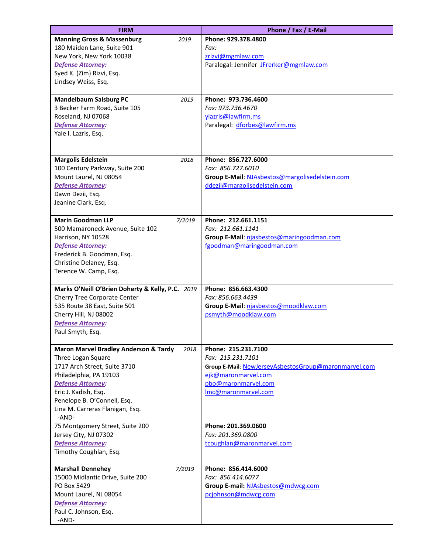| <b>FIRM</b>                                              | Phone / Fax / E-Mail                                 |
|----------------------------------------------------------|------------------------------------------------------|
| <b>Manning Gross &amp; Massenburg</b><br>2019            | Phone: 929.378.4800                                  |
| 180 Maiden Lane, Suite 901                               | Fax:                                                 |
| New York, New York 10038                                 | zrizvi@mgmlaw.com                                    |
| Defense Attorney:                                        | Paralegal: Jennifer JFrerker@mgmlaw.com              |
| Syed K. (Zim) Rizvi, Esq.                                |                                                      |
| Lindsey Weiss, Esq.                                      |                                                      |
| <b>Mandelbaum Salsburg PC</b><br>2019                    | Phone: 973.736.4600                                  |
| 3 Becker Farm Road, Suite 105                            | Fax: 973.736.4670                                    |
| Roseland, NJ 07068                                       | ylazris@lawfirm.ms                                   |
| <b>Defense Attorney:</b>                                 | Paralegal: dforbes@lawfirm.ms                        |
| Yale I. Lazris, Esq.                                     |                                                      |
|                                                          |                                                      |
| <b>Margolis Edelstein</b><br>2018                        | Phone: 856.727.6000                                  |
| 100 Century Parkway, Suite 200                           | Fax: 856.727.6010                                    |
| Mount Laurel, NJ 08054                                   | Group E-Mail: NJAsbestos@margolisedelstein.com       |
| <b>Defense Attorney:</b>                                 | ddezij@margolisedelstein.com                         |
| Dawn Dezii, Esq.                                         |                                                      |
| Jeanine Clark, Esq.                                      |                                                      |
|                                                          |                                                      |
| <b>Marin Goodman LLP</b><br>7/2019                       | Phone: 212.661.1151                                  |
| 500 Mamaroneck Avenue, Suite 102                         | Fax: 212.661.1141                                    |
| Harrison, NY 10528                                       | Group E-Mail: njasbestos@maringoodman.com            |
| <b>Defense Attorney:</b><br>Frederick B. Goodman, Esq.   | fgoodman@maringoodman.com                            |
| Christine Delaney, Esq.                                  |                                                      |
| Terence W. Camp, Esq.                                    |                                                      |
|                                                          |                                                      |
| Marks O'Neill O'Brien Doherty & Kelly, P.C. 2019         | Phone: 856.663.4300                                  |
| Cherry Tree Corporate Center                             | Fax: 856.663.4439                                    |
| 535 Route 38 East, Suite 501                             | Group E-Mail: njasbestos@moodklaw.com                |
| Cherry Hill, NJ 08002                                    | psmyth@moodklaw.com                                  |
| Defense Attorney:                                        |                                                      |
| Paul Smyth, Esq.                                         |                                                      |
| <b>Maron Marvel Bradley Anderson &amp; Tardy</b><br>2018 | Phone: 215.231.7100                                  |
| Three Logan Square                                       | Fax: 215.231.7101                                    |
| 1717 Arch Street, Suite 3710                             | Group E-Mail: NewJerseyAsbestosGroup@maronmarvel.com |
| Philadelphia, PA 19103                                   | ejk@maronmarvel.com                                  |
| <b>Defense Attorney:</b>                                 | pbo@maronmarvel.com                                  |
| Eric J. Kadish, Esq.                                     | Imc@maronmarvel.com                                  |
| Penelope B. O'Connell, Esq.                              |                                                      |
| Lina M. Carreras Flanigan, Esq.<br>-AND-                 |                                                      |
| 75 Montgomery Street, Suite 200                          | Phone: 201.369.0600                                  |
| Jersey City, NJ 07302                                    | Fax: 201.369.0800                                    |
| <b>Defense Attorney:</b>                                 | tcoughlan@maronmarvel.com                            |
| Timothy Coughlan, Esq.                                   |                                                      |
| <b>Marshall Dennehey</b><br>7/2019                       | Phone: 856.414.6000                                  |
| 15000 Midlantic Drive, Suite 200                         | Fax: 856.414.6077                                    |
| PO Box 5429                                              | Group E-mail: NJAsbestos@mdwcg.com                   |
| Mount Laurel, NJ 08054                                   | pcjohnson@mdwcg.com                                  |
| Defense Attorney:                                        |                                                      |
| Paul C. Johnson, Esq.                                    |                                                      |
| -AND-                                                    |                                                      |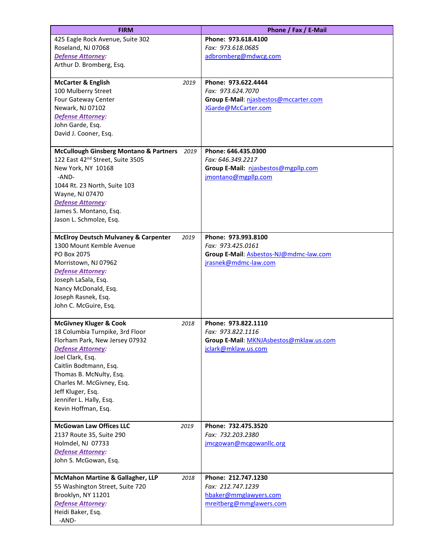| <b>FIRM</b>                                               | Phone / Fax / E-Mail                    |
|-----------------------------------------------------------|-----------------------------------------|
| 425 Eagle Rock Avenue, Suite 302                          | Phone: 973.618.4100                     |
| Roseland, NJ 07068                                        | Fax: 973.618.0685                       |
| <b>Defense Attorney:</b>                                  | adbromberg@mdwcg.com                    |
| Arthur D. Bromberg, Esq.                                  |                                         |
| <b>McCarter &amp; English</b><br>2019                     | Phone: 973.622.4444                     |
| 100 Mulberry Street                                       | Fax: 973.624.7070                       |
| Four Gateway Center                                       | Group E-Mail: njasbestos@mccarter.com   |
| Newark, NJ 07102                                          | JGarde@McCarter.com                     |
| <b>Defense Attorney:</b>                                  |                                         |
| John Garde, Esq.                                          |                                         |
| David J. Cooner, Esq.                                     |                                         |
|                                                           |                                         |
| <b>McCullough Ginsberg Montano &amp; Partners</b><br>2019 | Phone: 646.435.0300                     |
| 122 East 42 <sup>nd</sup> Street, Suite 3505              | Fax: 646.349.2217                       |
| New York, NY 10168                                        | Group E-Mail: njasbestos@mgpllp.com     |
| -AND-                                                     | jmontano@mgpllp.com                     |
| 1044 Rt. 23 North, Suite 103                              |                                         |
| Wayne, NJ 07470                                           |                                         |
| Defense Attorney:<br>James S. Montano, Esq.               |                                         |
| Jason L. Schmolze, Esq.                                   |                                         |
|                                                           |                                         |
| <b>McElroy Deutsch Mulvaney &amp; Carpenter</b><br>2019   | Phone: 973.993.8100                     |
| 1300 Mount Kemble Avenue                                  | Fax: 973.425.0161                       |
| PO Box 2075                                               | Group E-Mail: Asbestos-NJ@mdmc-law.com  |
| Morristown, NJ 07962                                      | jrasnek@mdmc-law.com                    |
| <b>Defense Attorney:</b>                                  |                                         |
| Joseph LaSala, Esq.                                       |                                         |
| Nancy McDonald, Esq.                                      |                                         |
| Joseph Rasnek, Esq.<br>John C. McGuire, Esq.              |                                         |
|                                                           |                                         |
| <b>McGivney Kluger &amp; Cook</b><br>2018                 | Phone: 973.822.1110                     |
| 18 Columbia Turnpike, 3rd Floor                           | Fax: 973.822.1116                       |
| Florham Park, New Jersey 07932                            | Group E-Mail: MKNJAsbestos@mklaw.us.com |
| <b>Defense Attorney:</b>                                  | jclark@mklaw.us.com                     |
| Joel Clark, Esq.                                          |                                         |
| Caitlin Bodtmann, Esq.                                    |                                         |
| Thomas B. McNulty, Esq.<br>Charles M. McGivney, Esq.      |                                         |
| Jeff Kluger, Esq.                                         |                                         |
| Jennifer L. Hally, Esq.                                   |                                         |
| Kevin Hoffman, Esq.                                       |                                         |
|                                                           |                                         |
| <b>McGowan Law Offices LLC</b><br>2019                    | Phone: 732.475.3520                     |
| 2137 Route 35, Suite 290                                  | Fax: 732.203.2380                       |
| Holmdel, NJ 07733                                         | jmcgowan@mcgowanllc.org                 |
| <b>Defense Attorney:</b>                                  |                                         |
| John S. McGowan, Esq.                                     |                                         |
| <b>McMahon Martine &amp; Gallagher, LLP</b><br>2018       | Phone: 212.747.1230                     |
| 55 Washington Street, Suite 720                           | Fax: 212.747.1239                       |
| Brooklyn, NY 11201                                        | hbaker@mmglawyers.com                   |
| <b>Defense Attorney:</b>                                  | mreitberg@mmglawers.com                 |
| Heidi Baker, Esq.                                         |                                         |
| -AND-                                                     |                                         |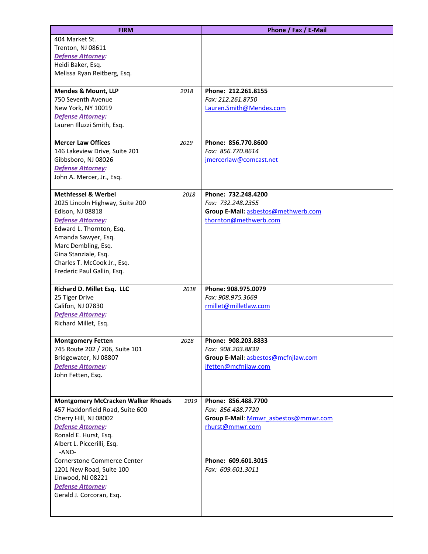| <b>FIRM</b>                                                |      | Phone / Fax / E-Mail                     |
|------------------------------------------------------------|------|------------------------------------------|
| 404 Market St.                                             |      |                                          |
| Trenton, NJ 08611                                          |      |                                          |
| <b>Defense Attorney:</b>                                   |      |                                          |
| Heidi Baker, Esq.                                          |      |                                          |
| Melissa Ryan Reitberg, Esq.                                |      |                                          |
|                                                            |      |                                          |
| <b>Mendes &amp; Mount, LLP</b>                             | 2018 | Phone: 212.261.8155                      |
| 750 Seventh Avenue                                         |      | Fax: 212.261.8750                        |
| New York, NY 10019<br><b>Defense Attorney:</b>             |      | Lauren.Smith@Mendes.com                  |
| Lauren Illuzzi Smith, Esq.                                 |      |                                          |
|                                                            |      |                                          |
| <b>Mercer Law Offices</b>                                  | 2019 | Phone: 856.770.8600                      |
| 146 Lakeview Drive, Suite 201                              |      | Fax: 856.770.8614                        |
| Gibbsboro, NJ 08026                                        |      | jmercerlaw@comcast.net                   |
| <b>Defense Attorney:</b>                                   |      |                                          |
| John A. Mercer, Jr., Esq.                                  |      |                                          |
|                                                            |      |                                          |
| <b>Methfessel &amp; Werbel</b>                             | 2018 | Phone: 732.248.4200                      |
| 2025 Lincoln Highway, Suite 200                            |      | Fax: 732.248.2355                        |
| Edison, NJ 08818                                           |      | Group E-Mail: asbestos@methwerb.com      |
| Defense Attorney:                                          |      | thornton@methwerb.com                    |
| Edward L. Thornton, Esq.                                   |      |                                          |
| Amanda Sawyer, Esq.<br>Marc Dembling, Esq.                 |      |                                          |
| Gina Stanziale, Esq.                                       |      |                                          |
| Charles T. McCook Jr., Esq.                                |      |                                          |
| Frederic Paul Gallin, Esq.                                 |      |                                          |
|                                                            |      |                                          |
| Richard D. Millet Esq. LLC                                 | 2018 | Phone: 908.975.0079                      |
| 25 Tiger Drive                                             |      | Fax: 908.975.3669                        |
| Califon, NJ 07830                                          |      | rmillet@milletlaw.com                    |
| <b>Defense Attorney:</b>                                   |      |                                          |
| Richard Millet, Esq.                                       |      |                                          |
|                                                            |      |                                          |
| <b>Montgomery Fetten</b><br>745 Route 202 / 206, Suite 101 | 2018 | Phone: 908.203.8833<br>Fax: 908.203.8839 |
| Bridgewater, NJ 08807                                      |      | Group E-Mail: asbestos@mcfnjlaw.com      |
| <b>Defense Attorney:</b>                                   |      | jfetten@mcfnjlaw.com                     |
| John Fetten, Esq.                                          |      |                                          |
|                                                            |      |                                          |
|                                                            |      |                                          |
| <b>Montgomery McCracken Walker Rhoads</b>                  | 2019 | Phone: 856.488.7700                      |
| 457 Haddonfield Road, Suite 600                            |      | Fax: 856.488.7720                        |
| Cherry Hill, NJ 08002                                      |      | Group E-Mail: Mmwr asbestos@mmwr.com     |
| <b>Defense Attorney:</b>                                   |      | rhurst@mmwr.com                          |
| Ronald E. Hurst, Esq.                                      |      |                                          |
| Albert L. Piccerilli, Esq.                                 |      |                                          |
| -AND-<br>Cornerstone Commerce Center                       |      | Phone: 609.601.3015                      |
|                                                            |      | Fax: 609.601.3011                        |
| 1201 New Road, Suite 100<br>Linwood, NJ 08221              |      |                                          |
| <b>Defense Attorney:</b>                                   |      |                                          |
| Gerald J. Corcoran, Esq.                                   |      |                                          |
|                                                            |      |                                          |
|                                                            |      |                                          |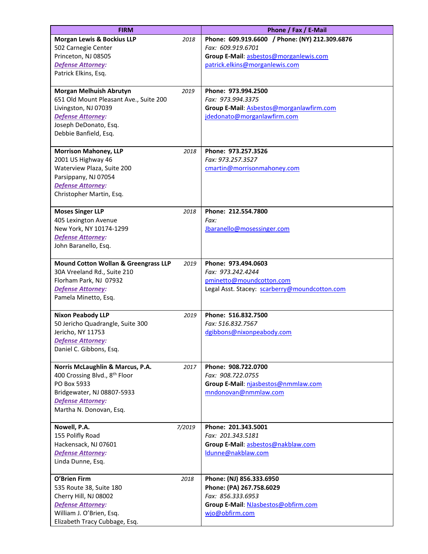| <b>FIRM</b>                                                                                                                                                                       |        | Phone / Fax / E-Mail                                                                                                                            |
|-----------------------------------------------------------------------------------------------------------------------------------------------------------------------------------|--------|-------------------------------------------------------------------------------------------------------------------------------------------------|
| <b>Morgan Lewis &amp; Bockius LLP</b><br>502 Carnegie Center<br>Princeton, NJ 08505<br>Defense Attorney:<br>Patrick Elkins, Esq.                                                  | 2018   | Phone: 609.919.6600 / Phone: (NY) 212.309.6876<br>Fax: 609.919.6701<br>Group E-Mail: asbestos@morganlewis.com<br>patrick.elkins@morganlewis.com |
| Morgan Melhuish Abrutyn<br>651 Old Mount Pleasant Ave., Suite 200<br>Livingston, NJ 07039<br><b>Defense Attorney:</b><br>Joseph DeDonato, Esq.<br>Debbie Banfield, Esq.           | 2019   | Phone: 973.994.2500<br>Fax: 973.994.3375<br>Group E-Mail: Asbestos@morganlawfirm.com<br>jdedonato@morganlawfirm.com                             |
| <b>Morrison Mahoney, LLP</b><br>2001 US Highway 46<br>Waterview Plaza, Suite 200<br>Parsippany, NJ 07054<br><b>Defense Attorney:</b><br>Christopher Martin, Esq.                  | 2018   | Phone: 973.257.3526<br>Fax: 973.257.3527<br>cmartin@morrisonmahoney.com                                                                         |
| <b>Moses Singer LLP</b><br>405 Lexington Avenue<br>New York, NY 10174-1299<br>Defense Attorney:<br>John Baranello, Esq.                                                           | 2018   | Phone: 212.554.7800<br>Fax:<br>Jbaranello@mosessinger.com                                                                                       |
| <b>Mound Cotton Wollan &amp; Greengrass LLP</b><br>30A Vreeland Rd., Suite 210<br>Florham Park, NJ 07932<br><b>Defense Attorney:</b><br>Pamela Minetto, Esq.                      | 2019   | Phone: 973.494.0603<br>Fax: 973.242.4244<br>pminetto@moundcotton.com<br>Legal Asst. Stacey: scarberry@moundcotton.com                           |
| <b>Nixon Peabody LLP</b><br>50 Jericho Quadrangle, Suite 300<br>Jericho, NY 11753<br><b>Defense Attorney:</b><br>Daniel C. Gibbons, Esq.                                          | 2019   | Phone: 516.832.7500<br>Fax: 516.832.7567<br>dgibbons@nixonpeabody.com                                                                           |
| Norris McLaughlin & Marcus, P.A.<br>400 Crossing Blvd., 8 <sup>th</sup> Floor<br>PO Box 5933<br>Bridgewater, NJ 08807-5933<br><b>Defense Attorney:</b><br>Martha N. Donovan, Esq. | 2017   | Phone: 908.722.0700<br>Fax: 908.722.0755<br>Group E-Mail: njasbestos@nmmlaw.com<br>mndonovan@nmmlaw.com                                         |
| Nowell, P.A.<br>155 Polifly Road<br>Hackensack, NJ 07601<br><b>Defense Attorney:</b><br>Linda Dunne, Esq.                                                                         | 7/2019 | Phone: 201.343.5001<br>Fax: 201.343.5181<br>Group E-Mail: asbestos@nakblaw.com<br>ldunne@nakblaw.com                                            |
| O'Brien Firm<br>535 Route 38, Suite 180<br>Cherry Hill, NJ 08002<br><b>Defense Attorney:</b><br>William J. O'Brien, Esq.<br>Elizabeth Tracy Cubbage, Esq.                         | 2018   | Phone: (NJ) 856.333.6950<br>Phone: (PA) 267.758.6029<br>Fax: 856.333.6953<br>Group E-Mail: NJasbestos@obfirm.com<br>wjo@obfirm.com              |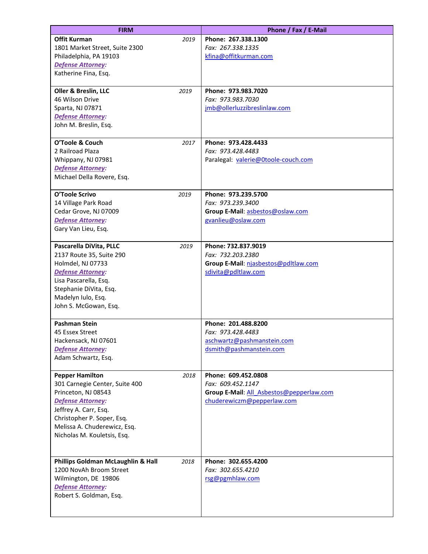| <b>FIRM</b>                        |      | Phone / Fax / E-Mail                     |
|------------------------------------|------|------------------------------------------|
| <b>Offit Kurman</b>                | 2019 | Phone: 267.338.1300                      |
| 1801 Market Street, Suite 2300     |      | Fax: 267.338.1335                        |
| Philadelphia, PA 19103             |      | kfina@offitkurman.com                    |
| Defense Attorney:                  |      |                                          |
| Katherine Fina, Esq.               |      |                                          |
| Oller & Breslin, LLC               | 2019 | Phone: 973.983.7020                      |
| 46 Wilson Drive                    |      | Fax: 973.983.7030                        |
| Sparta, NJ 07871                   |      | jmb@ollerluzzibreslinlaw.com             |
| <b>Defense Attorney:</b>           |      |                                          |
| John M. Breslin, Esq.              |      |                                          |
|                                    |      |                                          |
| O'Toole & Couch                    | 2017 | Phone: 973.428.4433                      |
| 2 Railroad Plaza                   |      | Fax: 973.428.4483                        |
| Whippany, NJ 07981                 |      | Paralegal: valerie@0toole-couch.com      |
| <b>Defense Attorney:</b>           |      |                                          |
| Michael Della Rovere, Esq.         |      |                                          |
| O'Toole Scrivo                     | 2019 | Phone: 973.239.5700                      |
| 14 Village Park Road               |      | Fax: 973.239.3400                        |
| Cedar Grove, NJ 07009              |      | Group E-Mail: asbestos@oslaw.com         |
| <b>Defense Attorney:</b>           |      | gvanlieu@oslaw.com                       |
| Gary Van Lieu, Esq.                |      |                                          |
| Pascarella DiVita, PLLC            | 2019 | Phone: 732.837.9019                      |
| 2137 Route 35, Suite 290           |      | Fax: 732.203.2380                        |
| Holmdel, NJ 07733                  |      | Group E-Mail: njasbestos@pdltlaw.com     |
| <b>Defense Attorney:</b>           |      | sdivita@pdltlaw.com                      |
| Lisa Pascarella, Esq.              |      |                                          |
| Stephanie DiVita, Esq.             |      |                                          |
| Madelyn Iulo, Esq.                 |      |                                          |
| John S. McGowan, Esq.              |      |                                          |
| <b>Pashman Stein</b>               |      | Phone: 201.488.8200                      |
| 45 Essex Street                    |      | Fax: 973.428.4483                        |
| Hackensack, NJ 07601               |      | aschwartz@pashmanstein.com               |
| <b>Defense Attorney:</b>           |      | dsmith@pashmanstein.com                  |
| Adam Schwartz, Esq.                |      |                                          |
| <b>Pepper Hamilton</b>             | 2018 | Phone: 609.452.0808                      |
| 301 Carnegie Center, Suite 400     |      | Fax: 609.452.1147                        |
| Princeton, NJ 08543                |      | Group E-Mail: All Asbestos@pepperlaw.com |
| <b>Defense Attorney:</b>           |      | chuderewiczm@pepperlaw.com               |
| Jeffrey A. Carr, Esq.              |      |                                          |
| Christopher P. Soper, Esq.         |      |                                          |
| Melissa A. Chuderewicz, Esq.       |      |                                          |
| Nicholas M. Kouletsis, Esq.        |      |                                          |
|                                    |      |                                          |
| Phillips Goldman McLaughlin & Hall | 2018 | Phone: 302.655.4200                      |
| 1200 NovAh Broom Street            |      | Fax: 302.655.4210                        |
| Wilmington, DE 19806               |      | rsg@pgmhlaw.com                          |
| <b>Defense Attorney:</b>           |      |                                          |
| Robert S. Goldman, Esq.            |      |                                          |
|                                    |      |                                          |
|                                    |      |                                          |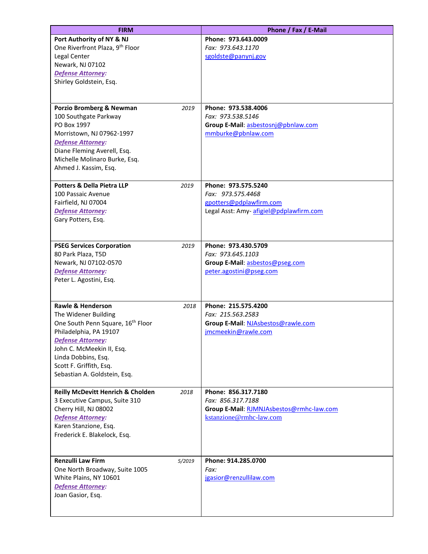| <b>FIRM</b>                                             |        | Phone / Fax / E-Mail                     |
|---------------------------------------------------------|--------|------------------------------------------|
| Port Authority of NY & NJ                               |        | Phone: 973.643.0009                      |
| One Riverfront Plaza, 9 <sup>th</sup> Floor             |        | Fax: 973.643.1170                        |
| Legal Center                                            |        | sgoldste@panynj.gov                      |
| Newark, NJ 07102                                        |        |                                          |
| <b>Defense Attorney:</b>                                |        |                                          |
| Shirley Goldstein, Esq.                                 |        |                                          |
|                                                         |        |                                          |
|                                                         |        |                                          |
| Porzio Bromberg & Newman                                | 2019   | Phone: 973.538.4006                      |
| 100 Southgate Parkway                                   |        | Fax: 973.538.5146                        |
| PO Box 1997                                             |        | Group E-Mail: asbestosnj@pbnlaw.com      |
| Morristown, NJ 07962-1997                               |        | mmburke@pbnlaw.com                       |
| <b>Defense Attorney:</b><br>Diane Fleming Averell, Esq. |        |                                          |
| Michelle Molinaro Burke, Esq.                           |        |                                          |
| Ahmed J. Kassim, Esq.                                   |        |                                          |
|                                                         |        |                                          |
| <b>Potters &amp; Della Pietra LLP</b>                   | 2019   | Phone: 973.575.5240                      |
| 100 Passaic Avenue                                      |        | Fax: 973.575.4468                        |
| Fairfield, NJ 07004                                     |        | gpotters@pdplawfirm.com                  |
| <b>Defense Attorney:</b>                                |        | Legal Asst: Amy-afigiel@pdplawfirm.com   |
| Gary Potters, Esq.                                      |        |                                          |
|                                                         |        |                                          |
|                                                         |        | Phone: 973.430.5709                      |
| <b>PSEG Services Corporation</b><br>80 Park Plaza, T5D  | 2019   | Fax: 973.645.1103                        |
| Newark, NJ 07102-0570                                   |        | Group E-Mail: asbestos@pseg.com          |
| <b>Defense Attorney:</b>                                |        | peter.agostini@pseg.com                  |
| Peter L. Agostini, Esq.                                 |        |                                          |
|                                                         |        |                                          |
|                                                         |        |                                          |
| Rawle & Henderson                                       | 2018   | Phone: 215.575.4200                      |
| The Widener Building                                    |        | Fax: 215.563.2583                        |
| One South Penn Square, 16 <sup>th</sup> Floor           |        | Group E-Mail: NJAsbestos@rawle.com       |
| Philadelphia, PA 19107                                  |        | jmcmeekin@rawle.com                      |
| Defense Attorney:                                       |        |                                          |
| John C. McMeekin II, Esq.<br>Linda Dobbins, Esq.        |        |                                          |
| Scott F. Griffith, Esq.                                 |        |                                          |
| Sebastian A. Goldstein, Esq.                            |        |                                          |
|                                                         |        |                                          |
| <b>Reilly McDevitt Henrich &amp; Cholden</b>            | 2018   | Phone: 856.317.7180                      |
| 3 Executive Campus, Suite 310                           |        | Fax: 856.317.7188                        |
| Cherry Hill, NJ 08002                                   |        | Group E-Mail: RJMNJAsbestos@rmhc-law.com |
| <b>Defense Attorney:</b>                                |        | kstanzione@rmhc-law.com                  |
| Karen Stanzione, Esq.                                   |        |                                          |
| Frederick E. Blakelock, Esq.                            |        |                                          |
|                                                         |        |                                          |
| <b>Renzulli Law Firm</b>                                | 5/2019 | Phone: 914.285.0700                      |
| One North Broadway, Suite 1005                          |        | Fax:                                     |
| White Plains, NY 10601                                  |        | jgasior@renzullilaw.com                  |
| <b>Defense Attorney:</b>                                |        |                                          |
| Joan Gasior, Esq.                                       |        |                                          |
|                                                         |        |                                          |
|                                                         |        |                                          |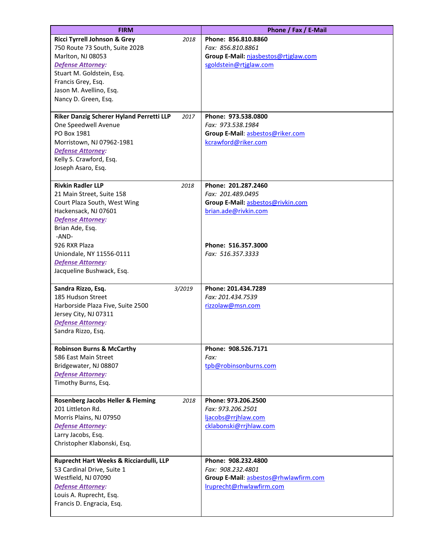| <b>FIRM</b>                                                              | Phone / Fax / E-Mail                          |
|--------------------------------------------------------------------------|-----------------------------------------------|
| Ricci Tyrrell Johnson & Grey<br>2018                                     | Phone: 856.810.8860                           |
| 750 Route 73 South, Suite 202B                                           | Fax: 856.810.8861                             |
| Marlton, NJ 08053                                                        | Group E-Mail: njasbestos@rtjglaw.com          |
| <b>Defense Attorney:</b>                                                 | sgoldstein@rtjglaw.com                        |
| Stuart M. Goldstein, Esq.                                                |                                               |
| Francis Grey, Esq.                                                       |                                               |
| Jason M. Avellino, Esq.                                                  |                                               |
| Nancy D. Green, Esq.                                                     |                                               |
|                                                                          |                                               |
| Riker Danzig Scherer Hyland Perretti LLP<br>2017<br>One Speedwell Avenue | Phone: 973.538.0800<br>Fax: 973.538.1984      |
| PO Box 1981                                                              | Group E-Mail: asbestos@riker.com              |
| Morristown, NJ 07962-1981                                                | kcrawford@riker.com                           |
| <b>Defense Attorney:</b>                                                 |                                               |
| Kelly S. Crawford, Esq.                                                  |                                               |
| Joseph Asaro, Esq.                                                       |                                               |
|                                                                          |                                               |
| <b>Rivkin Radler LLP</b><br>2018                                         | Phone: 201.287.2460                           |
| 21 Main Street, Suite 158                                                | Fax: 201.489.0495                             |
| Court Plaza South, West Wing                                             | Group E-Mail: asbestos@rivkin.com             |
| Hackensack, NJ 07601                                                     | brian.ade@rivkin.com                          |
| <b>Defense Attorney:</b>                                                 |                                               |
| Brian Ade, Esq.<br>-AND-                                                 |                                               |
| 926 RXR Plaza                                                            | Phone: 516.357.3000                           |
| Uniondale, NY 11556-0111                                                 | Fax: 516.357.3333                             |
| <b>Defense Attorney:</b>                                                 |                                               |
| Jacqueline Bushwack, Esq.                                                |                                               |
|                                                                          |                                               |
| Sandra Rizzo, Esq.<br>3/2019                                             | Phone: 201.434.7289                           |
| 185 Hudson Street                                                        | Fax: 201.434.7539                             |
| Harborside Plaza Five, Suite 2500                                        | rizzolaw@msn.com                              |
| Jersey City, NJ 07311                                                    |                                               |
| <b>Defense Attorney:</b>                                                 |                                               |
| Sandra Rizzo, Esq.                                                       |                                               |
| <b>Robinson Burns &amp; McCarthy</b>                                     | Phone: 908.526.7171                           |
| 586 East Main Street                                                     | Fax:                                          |
| Bridgewater, NJ 08807                                                    | tpb@robinsonburns.com                         |
| <b>Defense Attorney:</b>                                                 |                                               |
| Timothy Burns, Esq.                                                      |                                               |
|                                                                          |                                               |
| <b>Rosenberg Jacobs Heller &amp; Fleming</b><br>2018                     | Phone: 973.206.2500                           |
| 201 Littleton Rd.<br>Morris Plains, NJ 07950                             | Fax: 973.206.2501                             |
| <b>Defense Attorney:</b>                                                 | ljacobs@rrjhlaw.com<br>cklabonski@rrjhlaw.com |
| Larry Jacobs, Esq.                                                       |                                               |
| Christopher Klabonski, Esq.                                              |                                               |
|                                                                          |                                               |
| Ruprecht Hart Weeks & Ricciardulli, LLP                                  | Phone: 908.232.4800                           |
| 53 Cardinal Drive, Suite 1                                               | Fax: 908.232.4801                             |
| Westfield, NJ 07090                                                      | Group E-Mail: asbestos@rhwlawfirm.com         |
| <b>Defense Attorney:</b>                                                 | Iruprecht@rhwlawfirm.com                      |
| Louis A. Ruprecht, Esq.                                                  |                                               |
| Francis D. Engracia, Esq.                                                |                                               |
|                                                                          |                                               |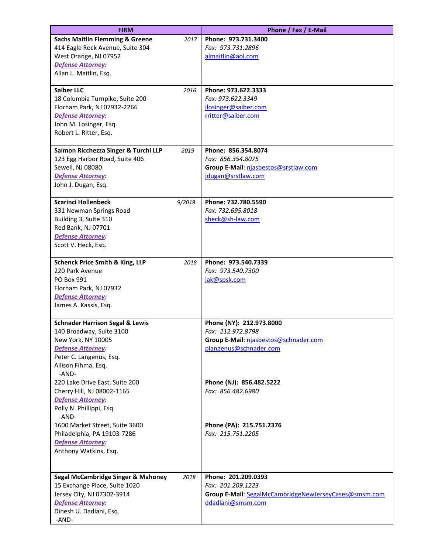| <b>FIRM</b>                                       |        | Phone / Fax / E-Mail                                  |
|---------------------------------------------------|--------|-------------------------------------------------------|
| <b>Sachs Maitlin Flemming &amp; Greene</b>        | 2017   | Phone: 973.731.3400                                   |
| 414 Eagle Rock Avenue, Suite 304                  |        | Fax: 973.731.2896                                     |
| West Orange, NJ 07952                             |        | almaitlin@aol.com                                     |
| <b>Defense Attorney:</b>                          |        |                                                       |
| Allan L. Maitlin, Esq.                            |        |                                                       |
| <b>Saiber LLC</b>                                 | 2016   | Phone: 973.622.3333                                   |
| 18 Columbia Turnpike, Suite 200                   |        | Fax: 973.622.3349                                     |
| Florham Park, NJ 07932-2266                       |        | jlosinger@saiber.com                                  |
| <b>Defense Attorney:</b>                          |        | rritter@saiber.com                                    |
| John M. Losinger, Esq.                            |        |                                                       |
| Robert L. Ritter, Esq.                            |        |                                                       |
| Salmon Ricchezza Singer & Turchi LLP              | 2019   | Phone: 856.354.8074                                   |
| 123 Egg Harbor Road, Suite 406                    |        | Fax: 856.354.8075                                     |
| Sewell, NJ 08080                                  |        | Group E-Mail: njasbestos@srstlaw.com                  |
| <b>Defense Attorney:</b>                          |        | jdugan@srstlaw.com                                    |
| John J. Dugan, Esq.                               |        |                                                       |
|                                                   |        |                                                       |
| <b>Scarinci Hollenbeck</b>                        | 9/2018 | Phone: 732.780.5590<br>Fax: 732.695.8018              |
| 331 Newman Springs Road<br>Building 3, Suite 310  |        | sheck@sh-law.com                                      |
| Red Bank, NJ 07701                                |        |                                                       |
| <b>Defense Attorney:</b>                          |        |                                                       |
| Scott V. Heck, Esq.                               |        |                                                       |
|                                                   |        |                                                       |
| <b>Schenck Price Smith &amp; King, LLP</b>        | 2018   | Phone: 973.540.7339                                   |
| 220 Park Avenue                                   |        | Fax: 973.540.7300                                     |
| PO Box 991                                        |        | jak@spsk.com                                          |
| Florham Park, NJ 07932                            |        |                                                       |
| <b>Defense Attorney:</b><br>James A. Kassis, Esq. |        |                                                       |
|                                                   |        |                                                       |
| <b>Schnader Harrison Segal &amp; Lewis</b>        |        | Phone (NY): 212.973.8000                              |
| 140 Broadway, Suite 3100                          |        | Fax: 212.972.8798                                     |
| New York, NY 10005                                |        | Group E-Mail: njasbestos@schnader.com                 |
| <b>Defense Attorney:</b>                          |        | plangenus@schnader.com                                |
| Peter C. Langenus, Esq.                           |        |                                                       |
| Allison Fihma, Esq.<br>-AND-                      |        |                                                       |
| 220 Lake Drive East, Suite 200                    |        | Phone (NJ): 856.482.5222                              |
| Cherry Hill, NJ 08002-1165                        |        | Fax: 856.482.6980                                     |
| <b>Defense Attorney:</b>                          |        |                                                       |
| Polly N. Phillippi, Esq.<br>-AND-                 |        |                                                       |
| 1600 Market Street, Suite 3600                    |        | Phone (PA): 215.751.2376                              |
| Philadelphia, PA 19103-7286                       |        | Fax: 215.751.2205                                     |
| <b>Defense Attorney:</b>                          |        |                                                       |
| Anthony Watkins, Esq.                             |        |                                                       |
| <b>Segal McCambridge Singer &amp; Mahoney</b>     | 2018   | Phone: 201.209.0393                                   |
| 15 Exchange Place, Suite 1020                     |        | Fax: 201.209.1223                                     |
| Jersey City, NJ 07302-3914                        |        | Group E-Mail: SegalMcCambridgeNewJerseyCases@smsm.com |
| <b>Defense Attorney:</b>                          |        | ddadlani@smsm.com                                     |
| Dinesh U. Dadlani, Esq.                           |        |                                                       |
| -AND-                                             |        |                                                       |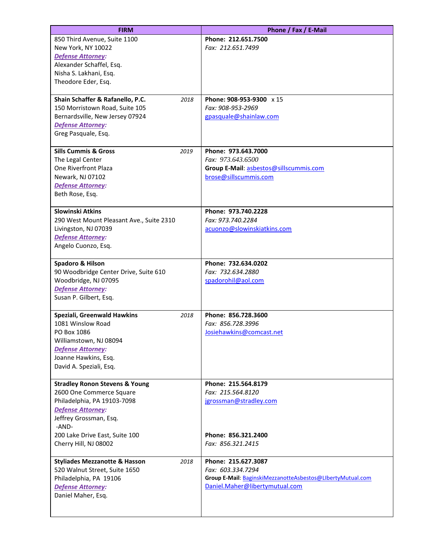| <b>FIRM</b>                                     |      | Phone / Fax / E-Mail                                       |
|-------------------------------------------------|------|------------------------------------------------------------|
| 850 Third Avenue, Suite 1100                    |      | Phone: 212.651.7500                                        |
| New York, NY 10022                              |      | Fax: 212.651.7499                                          |
| <b>Defense Attorney:</b>                        |      |                                                            |
| Alexander Schaffel, Esq.                        |      |                                                            |
| Nisha S. Lakhani, Esq.                          |      |                                                            |
| Theodore Eder, Esq.                             |      |                                                            |
| Shain Schaffer & Rafanello, P.C.                | 2018 | Phone: 908-953-9300 x 15                                   |
| 150 Morristown Road, Suite 105                  |      | Fax: 908-953-2969                                          |
| Bernardsville, New Jersey 07924                 |      | gpasquale@shainlaw.com                                     |
| <b>Defense Attorney:</b>                        |      |                                                            |
| Greg Pasquale, Esq.                             |      |                                                            |
| <b>Sills Cummis &amp; Gross</b>                 | 2019 | Phone: 973.643.7000                                        |
| The Legal Center                                |      | Fax: 973.643.6500                                          |
| <b>One Riverfront Plaza</b>                     |      | Group E-Mail: asbestos@sillscummis.com                     |
| Newark, NJ 07102                                |      | brose@sillscummis.com                                      |
| <b>Defense Attorney:</b>                        |      |                                                            |
| Beth Rose, Esq.                                 |      |                                                            |
| <b>Slowinski Atkins</b>                         |      | Phone: 973.740.2228                                        |
| 290 West Mount Pleasant Ave., Suite 2310        |      | Fax: 973.740.2284                                          |
| Livingston, NJ 07039                            |      | acuonzo@slowinskiatkins.com                                |
| Defense Attorney:                               |      |                                                            |
| Angelo Cuonzo, Esq.                             |      |                                                            |
| Spadoro & Hilson                                |      | Phone: 732.634.0202                                        |
| 90 Woodbridge Center Drive, Suite 610           |      | Fax: 732.634.2880                                          |
| Woodbridge, NJ 07095                            |      | spadorohil@aol.com                                         |
| <b>Defense Attorney:</b>                        |      |                                                            |
| Susan P. Gilbert, Esq.                          |      |                                                            |
| Speziali, Greenwald Hawkins                     | 2018 | Phone: 856.728.3600                                        |
| 1081 Winslow Road                               |      | Fax: 856.728.3996                                          |
| PO Box 1086                                     |      | Josiehawkins@comcast.net                                   |
| Williamstown, NJ 08094                          |      |                                                            |
| <b>Defense Attorney:</b>                        |      |                                                            |
| Joanne Hawkins, Esq.<br>David A. Speziali, Esq. |      |                                                            |
|                                                 |      |                                                            |
| <b>Stradley Ronon Stevens &amp; Young</b>       |      | Phone: 215.564.8179                                        |
| 2600 One Commerce Square                        |      | Fax: 215.564.8120                                          |
| Philadelphia, PA 19103-7098                     |      | jgrossman@stradley.com                                     |
| <b>Defense Attorney:</b>                        |      |                                                            |
| Jeffrey Grossman, Esq.<br>-AND-                 |      |                                                            |
| 200 Lake Drive East, Suite 100                  |      | Phone: 856.321.2400                                        |
| Cherry Hill, NJ 08002                           |      | Fax: 856.321.2415                                          |
|                                                 |      |                                                            |
| <b>Styliades Mezzanotte &amp; Hasson</b>        | 2018 | Phone: 215.627.3087                                        |
| 520 Walnut Street, Suite 1650                   |      | Fax: 603.334.7294                                          |
| Philadelphia, PA 19106                          |      | Group E-Mail: BaginskiMezzanotteAsbestos@LIbertyMutual.com |
| <b>Defense Attorney:</b>                        |      | Daniel.Maher@libertymutual.com                             |
| Daniel Maher, Esq.                              |      |                                                            |
|                                                 |      |                                                            |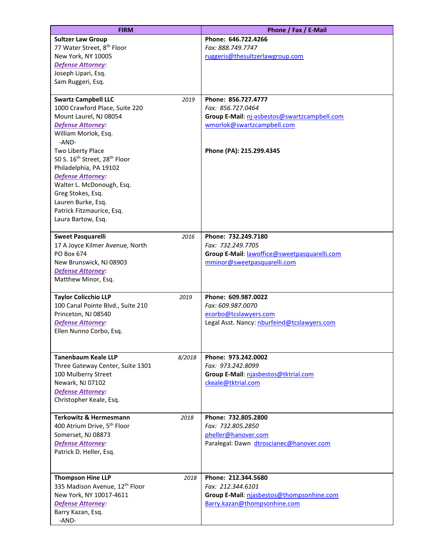| <b>FIRM</b>                                                                                                                                                                                                                                                                                                                                                                                                        |        | Phone / Fax / E-Mail                                                                                                                               |
|--------------------------------------------------------------------------------------------------------------------------------------------------------------------------------------------------------------------------------------------------------------------------------------------------------------------------------------------------------------------------------------------------------------------|--------|----------------------------------------------------------------------------------------------------------------------------------------------------|
| <b>Sultzer Law Group</b><br>77 Water Street, 8 <sup>th</sup> Floor<br>New York, NY 10005<br><b>Defense Attorney:</b><br>Joseph Lipari, Esq.<br>Sam Ruggeri, Esq.                                                                                                                                                                                                                                                   |        | Phone: 646.722.4266<br>Fax: 888.749.7747<br>ruggeris@thesultzerlawgroup.com                                                                        |
| <b>Swartz Campbell LLC</b><br>1000 Crawford Place, Suite 220<br>Mount Laurel, NJ 08054<br><b>Defense Attorney:</b><br>William Morlok, Esq.<br>-AND-<br>Two Liberty Place<br>50 S. 16 <sup>th</sup> Street, 28 <sup>th</sup> Floor<br>Philadelphia, PA 19102<br><b>Defense Attorney:</b><br>Walter L. McDonough, Esq.<br>Greg Stokes, Esq.<br>Lauren Burke, Esq.<br>Patrick Fitzmaurice, Esq.<br>Laura Bartow, Esq. | 2019   | Phone: 856.727.4777<br>Fax: 856.727.0464<br>Group E-Mail: nj-asbestos@swartzcampbell.com<br>wmorlok@swartzcampbell.com<br>Phone (PA): 215.299.4345 |
| <b>Sweet Pasquarelli</b><br>17 A Joyce Kilmer Avenue, North<br>PO Box 674<br>New Brunswick, NJ 08903<br><b>Defense Attorney:</b><br>Matthew Minor, Esq.                                                                                                                                                                                                                                                            | 2016   | Phone: 732.249.7180<br>Fax: 732.249.7705<br>Group E-Mail: lawoffice@sweetpasquarelli.com<br>mminor@sweetpasquarelli.com                            |
| <b>Taylor Colicchio LLP</b><br>100 Canal Pointe Blvd., Suite 210<br>Princeton, NJ 08540<br><b>Defense Attorney:</b><br>Ellen Nunno Corbo, Esq.                                                                                                                                                                                                                                                                     | 2019   | Phone: 609.987.0022<br>Fax: 609.987.0070<br>ecorbo@tcslawyers.com<br>Legal Asst. Nancy: nburfeind@tcslawyers.com                                   |
| <b>Tanenbaum Keale LLP</b><br>Three Gateway Center, Suite 1301<br>100 Mulberry Street<br>Newark, NJ 07102<br><b>Defense Attorney:</b><br>Christopher Keale, Esq.                                                                                                                                                                                                                                                   | 8/2018 | Phone: 973.242.0002<br>Fax: 973.242.8099<br>Group E-Mail: njasbestos@tktrial.com<br>ckeale@tktrial.com                                             |
| <b>Terkowitz &amp; Hermesmann</b><br>400 Atrium Drive, 5 <sup>th</sup> Floor<br>Somerset, NJ 08873<br><b>Defense Attorney:</b><br>Patrick D. Heller, Esq.                                                                                                                                                                                                                                                          | 2018   | Phone: 732.805.2800<br>Fax: 732.805.2850<br>pheller@hanover.com<br>Paralegal: Dawn dtroscianec@hanover.com                                         |
| <b>Thompson Hine LLP</b><br>335 Madison Avenue, 12 <sup>th</sup> Floor<br>New York, NY 10017-4611<br><b>Defense Attorney:</b><br>Barry Kazan, Esq.<br>-AND-                                                                                                                                                                                                                                                        | 2018   | Phone: 212.344.5680<br>Fax: 212.344.6101<br>Group E-Mail: njasbestos@thompsonhine.com<br>Barry.kazan@thompsonhine.com                              |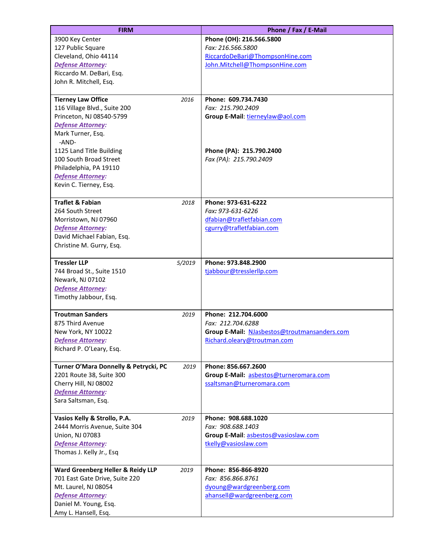| <b>FIRM</b>                                        |        | Phone / Fax / E-Mail                         |
|----------------------------------------------------|--------|----------------------------------------------|
| 3900 Key Center                                    |        | Phone (OH): 216.566.5800                     |
| 127 Public Square                                  |        | Fax: 216.566.5800                            |
| Cleveland, Ohio 44114                              |        | RiccardoDeBari@ThompsonHine.com              |
| <b>Defense Attorney:</b>                           |        | John.Mitchell@ThompsonHine.com               |
| Riccardo M. DeBari, Esq.                           |        |                                              |
| John R. Mitchell, Esq.                             |        |                                              |
| <b>Tierney Law Office</b>                          | 2016   | Phone: 609.734.7430                          |
| 116 Village Blvd., Suite 200                       |        | Fax: 215.790.2409                            |
| Princeton, NJ 08540-5799                           |        | Group E-Mail: tierneylaw@aol.com             |
| <b>Defense Attorney:</b>                           |        |                                              |
| Mark Turner, Esq.                                  |        |                                              |
| -AND-                                              |        |                                              |
| 1125 Land Title Building                           |        | Phone (PA): 215.790.2400                     |
| 100 South Broad Street                             |        | Fax (PA): 215.790.2409                       |
| Philadelphia, PA 19110<br><b>Defense Attorney:</b> |        |                                              |
| Kevin C. Tierney, Esq.                             |        |                                              |
|                                                    |        |                                              |
| <b>Traflet &amp; Fabian</b>                        | 2018   | Phone: 973-631-6222                          |
| 264 South Street                                   |        | Fax: 973-631-6226                            |
| Morristown, NJ 07960                               |        | dfabian@trafletfabian.com                    |
| <b>Defense Attorney:</b>                           |        | cgurry@trafletfabian.com                     |
| David Michael Fabian, Esq.                         |        |                                              |
| Christine M. Gurry, Esq.                           |        |                                              |
| <b>Tressler LLP</b>                                | 5/2019 | Phone: 973.848.2900                          |
| 744 Broad St., Suite 1510                          |        | tjabbour@tresslerllp.com                     |
| Newark, NJ 07102                                   |        |                                              |
| <b>Defense Attorney:</b>                           |        |                                              |
| Timothy Jabbour, Esq.                              |        |                                              |
| <b>Troutman Sanders</b>                            | 2019   | Phone: 212.704.6000                          |
| 875 Third Avenue                                   |        | Fax: 212.704.6288                            |
| New York, NY 10022                                 |        | Group E-Mail: NJasbestos@troutmansanders.com |
| Defense Attorney:                                  |        | Richard.oleary@troutman.com                  |
| Richard P. O'Leary, Esq.                           |        |                                              |
| Turner O'Mara Donnelly & Petrycki, PC              | 2019   | Phone: 856.667.2600                          |
| 2201 Route 38, Suite 300                           |        | Group E-Mail: asbestos@turneromara.com       |
| Cherry Hill, NJ 08002                              |        | ssaltsman@turneromara.com                    |
| <b>Defense Attorney:</b>                           |        |                                              |
| Sara Saltsman, Esq.                                |        |                                              |
| Vasios Kelly & Strollo, P.A.                       | 2019   | Phone: 908.688.1020                          |
| 2444 Morris Avenue, Suite 304                      |        | Fax: 908.688.1403                            |
| Union, NJ 07083                                    |        | Group E-Mail: asbestos@vasioslaw.com         |
| <b>Defense Attorney:</b>                           |        | tkelly@vasioslaw.com                         |
| Thomas J. Kelly Jr., Esq                           |        |                                              |
| Ward Greenberg Heller & Reidy LLP                  | 2019   | Phone: 856-866-8920                          |
| 701 East Gate Drive, Suite 220                     |        | Fax: 856.866.8761                            |
| Mt. Laurel, NJ 08054                               |        | dyoung@wardgreenberg.com                     |
| Defense Attorney:                                  |        | ahansell@wardgreenberg.com                   |
| Daniel M. Young, Esq.                              |        |                                              |
| Amy L. Hansell, Esq.                               |        |                                              |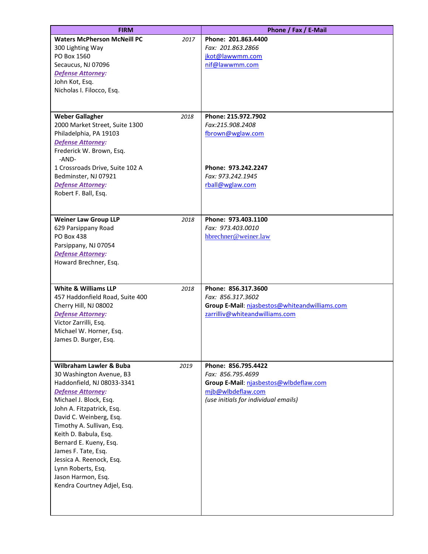| <b>FIRM</b>                                                                                                                                                                                                                                                                                                                                                                                                                      |      | Phone / Fax / E-Mail                                                                                                                            |
|----------------------------------------------------------------------------------------------------------------------------------------------------------------------------------------------------------------------------------------------------------------------------------------------------------------------------------------------------------------------------------------------------------------------------------|------|-------------------------------------------------------------------------------------------------------------------------------------------------|
| <b>Waters McPherson McNeill PC</b><br>300 Lighting Way<br>PO Box 1560<br>Secaucus, NJ 07096<br><b>Defense Attorney:</b><br>John Kot, Esq.<br>Nicholas I. Filocco, Esq.                                                                                                                                                                                                                                                           | 2017 | Phone: 201.863.4400<br>Fax: 201.863.2866<br>jkot@lawwmm.com<br>nif@lawwmm.com                                                                   |
| <b>Weber Gallagher</b><br>2018<br>2000 Market Street, Suite 1300<br>Philadelphia, PA 19103<br>Defense Attorney:<br>Frederick W. Brown, Esq.<br>-AND-<br>1 Crossroads Drive, Suite 102 A                                                                                                                                                                                                                                          |      | Phone: 215.972.7902<br>Fax:215.908.2408<br>fbrown@wglaw.com<br>Phone: 973.242.2247                                                              |
| Bedminster, NJ 07921<br>Defense Attorney:<br>Robert F. Ball, Esq.                                                                                                                                                                                                                                                                                                                                                                |      | Fax: 973.242.1945<br>rball@wglaw.com                                                                                                            |
| <b>Weiner Law Group LLP</b><br>2018<br>629 Parsippany Road<br>PO Box 438<br>Parsippany, NJ 07054<br><b>Defense Attorney:</b><br>Howard Brechner, Esq.                                                                                                                                                                                                                                                                            |      | Phone: 973.403.1100<br>Fax: 973.403.0010<br>hbrechner@weiner.law                                                                                |
| <b>White &amp; Williams LLP</b><br>2018<br>457 Haddonfield Road, Suite 400<br>Cherry Hill, NJ 08002<br><b>Defense Attorney:</b><br>Victor Zarrilli, Esq.<br>Michael W. Horner, Esq.<br>James D. Burger, Esq.                                                                                                                                                                                                                     |      | Phone: 856.317.3600<br>Fax: 856.317.3602<br>Group E-Mail: njasbestos@whiteandwilliams.com<br>zarrilliv@whiteandwilliams.com                     |
| <b>Wilbraham Lawler &amp; Buba</b><br>2019<br>30 Washington Avenue, B3<br>Haddonfield, NJ 08033-3341<br><b>Defense Attorney:</b><br>Michael J. Block, Esq.<br>John A. Fitzpatrick, Esq.<br>David C. Weinberg, Esq.<br>Timothy A. Sullivan, Esq.<br>Keith D. Babula, Esq.<br>Bernard E. Kueny, Esq.<br>James F. Tate, Esq.<br>Jessica A. Reenock, Esq.<br>Lynn Roberts, Esq.<br>Jason Harmon, Esq.<br>Kendra Courtney Adjel, Esq. |      | Phone: 856.795.4422<br>Fax: 856.795.4699<br>Group E-Mail: njasbestos@wlbdeflaw.com<br>mjb@wlbdeflaw.com<br>(use initials for individual emails) |